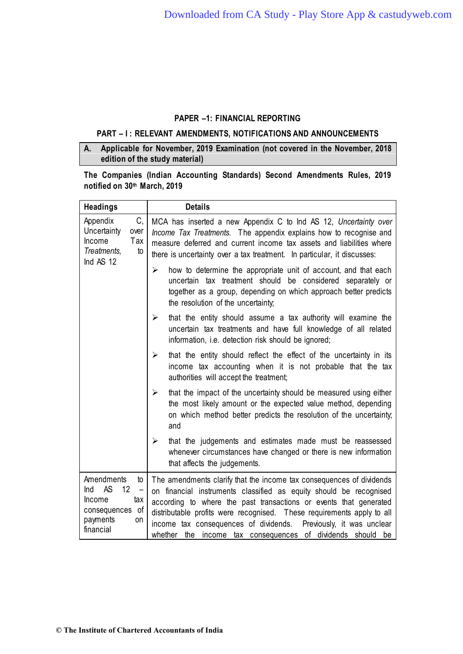#### **PART – I : RELEVANT AMENDMENTS, NOTIFICATIONS AND ANNOUNCEMENTS**

## **A. Applicable for November, 2019 Examination (not covered in the November, 2018 edition of the study material)**

## **The Companies (Indian Accounting Standards) Second Amendments Rules, 2019 notified on 30th March, 2019**

| <b>Headings</b>                                                                                                                            | <b>Details</b>                                                                                                                                                                                                                                                                                                                                                                                                                 |
|--------------------------------------------------------------------------------------------------------------------------------------------|--------------------------------------------------------------------------------------------------------------------------------------------------------------------------------------------------------------------------------------------------------------------------------------------------------------------------------------------------------------------------------------------------------------------------------|
| C,<br>Appendix<br>Uncertainty<br>over<br>Income<br>Tax<br>Treatments,<br>to<br>Ind AS 12                                                   | MCA has inserted a new Appendix C to Ind AS 12, Uncertainty over<br>Income Tax Treatments. The appendix explains how to recognise and<br>measure deferred and current income tax assets and liabilities where<br>there is uncertainty over a tax treatment. In particular, it discusses:                                                                                                                                       |
|                                                                                                                                            | how to determine the appropriate unit of account, and that each<br>➤<br>uncertain tax treatment should be considered separately or<br>together as a group, depending on which approach better predicts<br>the resolution of the uncertainty;                                                                                                                                                                                   |
|                                                                                                                                            | that the entity should assume a tax authority will examine the<br>➤<br>uncertain tax treatments and have full knowledge of all related<br>information, i.e. detection risk should be ignored;                                                                                                                                                                                                                                  |
|                                                                                                                                            | that the entity should reflect the effect of the uncertainty in its<br>➤<br>income tax accounting when it is not probable that the tax<br>authorities will accept the treatment;                                                                                                                                                                                                                                               |
|                                                                                                                                            | that the impact of the uncertainty should be measured using either<br>➤<br>the most likely amount or the expected value method, depending<br>on which method better predicts the resolution of the uncertainty;<br>and                                                                                                                                                                                                         |
|                                                                                                                                            | that the judgements and estimates made must be reassessed<br>➤<br>whenever circumstances have changed or there is new information<br>that affects the judgements.                                                                                                                                                                                                                                                              |
| Amendments<br>to<br>Ind<br>AS<br>$12 \overline{ }$<br>$\qquad \qquad -$<br>Income<br>tax<br>consequences of<br>payments<br>on<br>financial | The amendments clarify that the income tax consequences of dividends<br>on financial instruments classified as equity should be recognised<br>according to where the past transactions or events that generated<br>distributable profits were recognised. These requirements apply to all<br>income tax consequences of dividends.<br>Previously, it was unclear<br>whether the income tax consequences of dividends should be |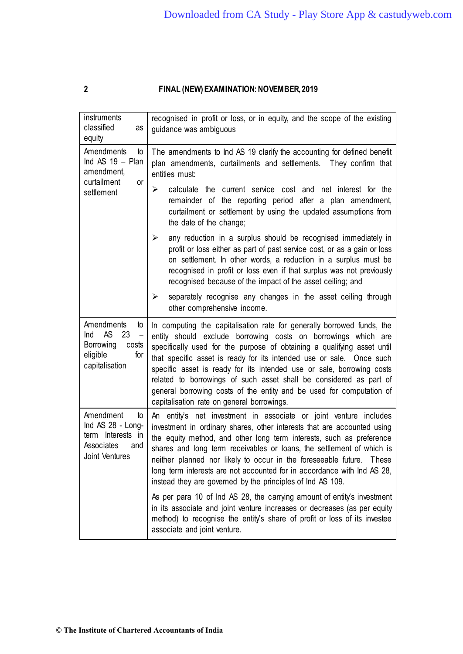| instruments<br>classified<br>as<br>equity                                                                                   | recognised in profit or loss, or in equity, and the scope of the existing<br>guidance was ambiguous                                                                                                                                                                                                                                                                                                                                                                                                                                                             |
|-----------------------------------------------------------------------------------------------------------------------------|-----------------------------------------------------------------------------------------------------------------------------------------------------------------------------------------------------------------------------------------------------------------------------------------------------------------------------------------------------------------------------------------------------------------------------------------------------------------------------------------------------------------------------------------------------------------|
| Amendments<br>to<br>Ind $AS$ 19 - Plan<br>amendment,<br>curtailment<br>or                                                   | The amendments to lnd AS 19 clarify the accounting for defined benefit<br>plan amendments, curtailments and settlements. They confirm that<br>entities must:                                                                                                                                                                                                                                                                                                                                                                                                    |
| settlement                                                                                                                  | calculate the current service cost and net interest for the<br>➤<br>remainder of the reporting period after a plan amendment,<br>curtailment or settlement by using the updated assumptions from<br>the date of the change;                                                                                                                                                                                                                                                                                                                                     |
|                                                                                                                             | any reduction in a surplus should be recognised immediately in<br>≻<br>profit or loss either as part of past service cost, or as a gain or loss<br>on settlement. In other words, a reduction in a surplus must be<br>recognised in profit or loss even if that surplus was not previously<br>recognised because of the impact of the asset ceiling; and                                                                                                                                                                                                        |
|                                                                                                                             | separately recognise any changes in the asset ceiling through<br>➤<br>other comprehensive income.                                                                                                                                                                                                                                                                                                                                                                                                                                                               |
| Amendments<br>to<br>AS.<br>Ind<br>23<br>$\overline{\phantom{0}}$<br>Borrowing<br>costs<br>eligible<br>for<br>capitalisation | In computing the capitalisation rate for generally borrowed funds, the<br>entity should exclude borrowing costs on borrowings which are<br>specifically used for the purpose of obtaining a qualifying asset until<br>that specific asset is ready for its intended use or sale. Once such<br>specific asset is ready for its intended use or sale, borrowing costs<br>related to borrowings of such asset shall be considered as part of<br>general borrowing costs of the entity and be used for computation of<br>capitalisation rate on general borrowings. |
| Amendment<br>to<br>Ind AS 28 - Long-<br>term Interests in<br>Associates<br>and<br>Joint Ventures                            | An entity's net investment in associate or joint venture includes<br>investment in ordinary shares, other interests that are accounted using<br>the equity method, and other long term interests, such as preference<br>shares and long term receivables or loans, the settlement of which is<br>neither planned nor likely to occur in the foreseeable future. These<br>long term interests are not accounted for in accordance with lnd AS 28,<br>instead they are governed by the principles of lnd AS 109.                                                  |
|                                                                                                                             | As per para 10 of lnd AS 28, the carrying amount of entity's investment<br>in its associate and joint venture increases or decreases (as per equity<br>method) to recognise the entity's share of profit or loss of its investee<br>associate and joint venture.                                                                                                                                                                                                                                                                                                |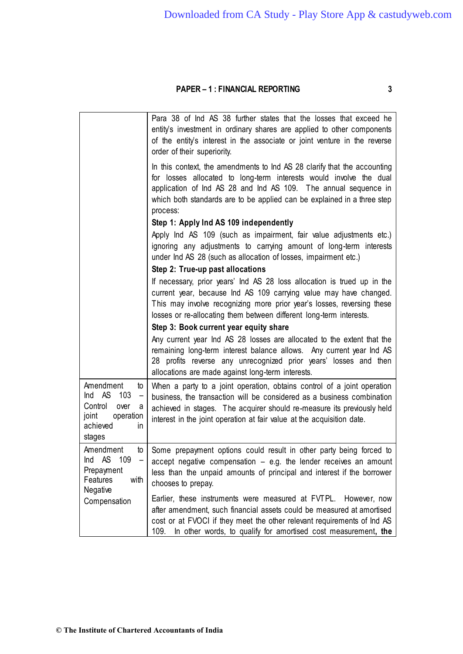| ٦ | I      |   |  |
|---|--------|---|--|
|   |        |   |  |
|   |        |   |  |
|   | I<br>I | I |  |

|                                                                                                                              | Para 38 of Ind AS 38 further states that the losses that exceed he<br>entity's investment in ordinary shares are applied to other components<br>of the entity's interest in the associate or joint venture in the reverse<br>order of their superiority.                                                 |
|------------------------------------------------------------------------------------------------------------------------------|----------------------------------------------------------------------------------------------------------------------------------------------------------------------------------------------------------------------------------------------------------------------------------------------------------|
|                                                                                                                              | In this context, the amendments to lnd AS 28 clarify that the accounting<br>for losses allocated to long-term interests would involve the dual<br>application of lnd AS 28 and lnd AS 109. The annual sequence in<br>which both standards are to be applied can be explained in a three step<br>process: |
|                                                                                                                              | Step 1: Apply Ind AS 109 independently                                                                                                                                                                                                                                                                   |
|                                                                                                                              | Apply Ind AS 109 (such as impairment, fair value adjustments etc.)<br>ignoring any adjustments to carrying amount of long-term interests<br>under Ind AS 28 (such as allocation of losses, impairment etc.)                                                                                              |
|                                                                                                                              | Step 2: True-up past allocations                                                                                                                                                                                                                                                                         |
|                                                                                                                              | If necessary, prior years' Ind AS 28 loss allocation is trued up in the<br>current year, because Ind AS 109 carrying value may have changed.<br>This may involve recognizing more prior year's losses, reversing these<br>losses or re-allocating them between different long-term interests.            |
|                                                                                                                              | Step 3: Book current year equity share                                                                                                                                                                                                                                                                   |
|                                                                                                                              | Any current year Ind AS 28 losses are allocated to the extent that the<br>remaining long-term interest balance allows. Any current year Ind AS<br>28 profits reverse any unrecognized prior years' losses and then<br>allocations are made against long-term interests.                                  |
| Amendment<br>to<br>Ind AS<br>103<br>$\overline{a}$<br>Control<br>over<br>а<br>joint<br>operation<br>achieved<br>in<br>stages | When a party to a joint operation, obtains control of a joint operation<br>business, the transaction will be considered as a business combination<br>achieved in stages. The acquirer should re-measure its previously held<br>interest in the joint operation at fair value at the acquisition date.    |
| Amendment<br>to<br>$Ind$ AS $109$<br>$-1$<br>Prepayment<br>Features<br>with<br>Negative                                      | Some prepayment options could result in other party being forced to<br>accept negative compensation $-$ e.g. the lender receives an amount<br>less than the unpaid amounts of principal and interest if the borrower<br>chooses to prepay.                                                               |
| Compensation                                                                                                                 | Earlier, these instruments were measured at FVTPL. However, now<br>after amendment, such financial assets could be measured at amortised<br>cost or at FVOCI if they meet the other relevant requirements of Ind AS<br>In other words, to qualify for amortised cost measurement, the<br>109.            |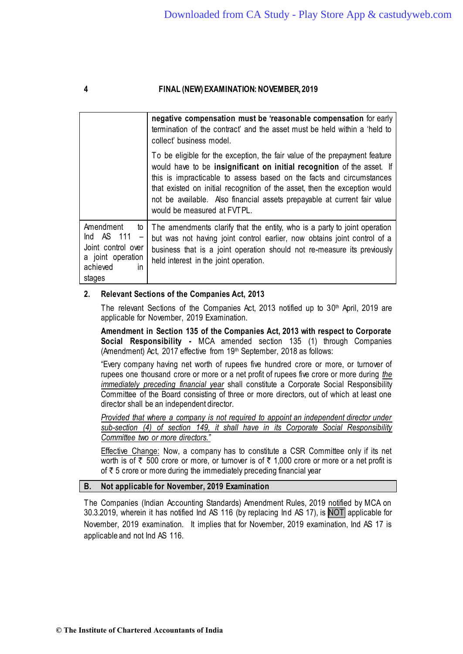|                                                                                                                                     | negative compensation must be 'reasonable compensation for early<br>termination of the contract' and the asset must be held within a 'held to<br>collect' business model.                                                                                                                                                                                                                                             |
|-------------------------------------------------------------------------------------------------------------------------------------|-----------------------------------------------------------------------------------------------------------------------------------------------------------------------------------------------------------------------------------------------------------------------------------------------------------------------------------------------------------------------------------------------------------------------|
|                                                                                                                                     | To be eligible for the exception, the fair value of the prepayment feature<br>would have to be insignificant on initial recognition of the asset. If<br>this is impracticable to assess based on the facts and circumstances<br>that existed on initial recognition of the asset, then the exception would<br>not be available. Also financial assets prepayable at current fair value<br>would be measured at FVTPL. |
| Amendment<br>to<br>Ind $AS$ 111<br>$\overline{\phantom{m}}$<br>Joint control over<br>a joint operation<br>achieved<br>in.<br>stages | The amendments clarify that the entity, who is a party to joint operation<br>but was not having joint control earlier, now obtains joint control of a<br>business that is a joint operation should not re-measure its previously<br>held interest in the joint operation.                                                                                                                                             |

#### **2. Relevant Sections of the Companies Act, 2013**

The relevant Sections of the Companies Act, 2013 notified up to 30<sup>th</sup> April, 2019 are applicable for November, 2019 Examination.

**Amendment in Section 135 of the Companies Act, 2013 with respect to Corporate Social Responsibility -** MCA amended section 135 (1) through Companies (Amendment) Act, 2017 effective from 19<sup>th</sup> September, 2018 as follows:

"Every company having net worth of rupees five hundred crore or more, or turnover of rupees one thousand crore or more or a net profit of rupees five crore or more during *the immediately preceding financial year* shall constitute a Corporate Social Responsibility Committee of the Board consisting of three or more directors, out of which at least one director shall be an independent director.

*Provided that where a company is not required to appoint an independent director under sub-section (4) of section 149, it shall have in its Corporate Social Responsibility Committee two or more directors."*

**Effective Change:** Now, a company has to constitute a CSR Committee only if its net worth is of  $\bar{\tau}$  500 crore or more, or turnover is of  $\bar{\tau}$  1,000 crore or more or a net profit is of  $\bar{\tau}$  5 crore or more during the immediately preceding financial year

#### **B. Not applicable for November, 2019 Examination**

The Companies (Indian Accounting Standards) Amendment Rules, 2019 notified by MCA on 30.3.2019, wherein it has notified Ind AS 116 (by replacing Ind AS 17), is NOT applicable for November, 2019 examination. It implies that for November, 2019 examination, Ind AS 17 is applicable and not Ind AS 116.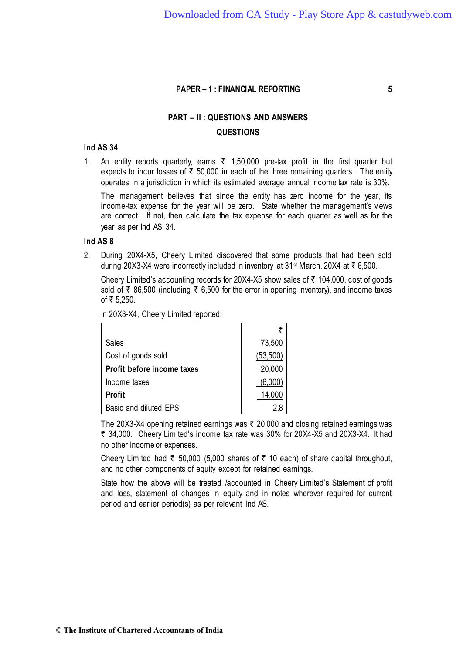# **PART – II : QUESTIONS AND ANSWERS QUESTIONS**

## **Ind AS 34**

1. An entity reports quarterly, earns  $\bar{\tau}$  1,50,000 pre-tax profit in the first quarter but expects to incur losses of  $\overline{\tau}$  50,000 in each of the three remaining quarters. The entity operates in a jurisdiction in which its estimated average annual income tax rate is 30%.

The management believes that since the entity has zero income for the year, its income-tax expense for the year will be zero. State whether the management's views are correct. If not, then calculate the tax expense for each quarter as well as for the year as per Ind AS 34.

## **Ind AS 8**

2. During 20X4-X5, Cheery Limited discovered that some products that had been sold during 20X3-X4 were incorrectly included in inventory at 31<sup>st</sup> March, 20X4 at  $\bar{\tau}$  6,500.

Cheery Limited's accounting records for 20X4-X5 show sales of  $\bar{\tau}$  104,000, cost of goods sold of  $\bar{\tau}$  86,500 (including  $\bar{\tau}$  6,500 for the error in opening inventory), and income taxes of  $\bar{x}$  5,250.

|                            | ₹        |
|----------------------------|----------|
| Sales                      | 73,500   |
| Cost of goods sold         | (53,500) |
| Profit before income taxes | 20,000   |
| Income taxes               | (6,000)  |
| Profit                     | 14.000   |
| Basic and diluted EPS      | 28       |

In 20X3-X4, Cheery Limited reported:

The 20X3-X4 opening retained earnings was  $\bar{\tau}$  20,000 and closing retained earnings was ` 34,000. Cheery Limited's income tax rate was 30% for 20X4-X5 and 20X3-X4. It had no other income or expenses.

Cheery Limited had  $\bar{\tau}$  50,000 (5,000 shares of  $\bar{\tau}$  10 each) of share capital throughout, and no other components of equity except for retained earnings.

State how the above will be treated /accounted in Cheery Limited's Statement of profit and loss, statement of changes in equity and in notes wherever required for current period and earlier period(s) as per relevant Ind AS.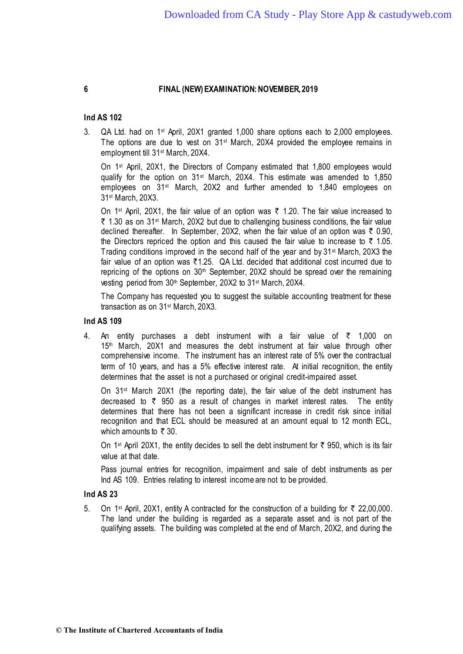### **Ind AS 102**

3. QA Ltd. had on 1st April, 20X1 granted 1,000 share options each to 2,000 employees. The options are due to vest on  $31<sup>st</sup>$  March, 20X4 provided the employee remains in employment till 31st March, 20X4.

On 1st April, 20X1, the Directors of Company estimated that 1,800 employees would qualify for the option on 31st March, 20X4. This estimate was amended to 1,850 employees on 31<sup>st</sup> March, 20X2 and further amended to 1,840 employees on 31st March, 20X3.

On 1<sup>st</sup> April, 20X1, the fair value of an option was  $\bar{\tau}$  1.20. The fair value increased to ₹ 1.30 as on 31<sup>st</sup> March, 20X2 but due to challenging business conditions, the fair value declined thereafter. In September, 20X2, when the fair value of an option was  $\bar{\tau}$  0.90, the Directors repriced the option and this caused the fair value to increase to  $\bar{\tau}$  1.05. Trading conditions improved in the second half of the year and by 31st March, 20X3 the fair value of an option was  $\overline{5}1.25$ . QA Ltd. decided that additional cost incurred due to repricing of the options on  $30<sup>th</sup>$  September, 20X2 should be spread over the remaining vesting period from 30<sup>th</sup> September, 20X2 to 31<sup>st</sup> March, 20X4.

The Company has requested you to suggest the suitable accounting treatment for these transaction as on 31st March, 20X3.

#### **Ind AS 109**

4. An entity purchases a debt instrument with a fair value of  $\bar{\tau}$  1,000 on 15<sup>th</sup> March, 20X1 and measures the debt instrument at fair value through other comprehensive income. The instrument has an interest rate of 5% over the contractual term of 10 years, and has a 5% effective interest rate. At initial recognition, the entity determines that the asset is not a purchased or original credit-impaired asset.

On  $31<sup>st</sup>$  March 20X1 (the reporting date), the fair value of the debt instrument has decreased to  $\bar{\tau}$  950 as a result of changes in market interest rates. The entity determines that there has not been a significant increase in credit risk since initial recognition and that ECL should be measured at an amount equal to 12 month ECL, which amounts to  $\bar{\tau}$  30.

On 1<sup>st</sup> April 20X1, the entity decides to sell the debt instrument for  $\bar{\tau}$  950, which is its fair value at that date.

Pass journal entries for recognition, impairment and sale of debt instruments as per Ind AS 109. Entries relating to interest income are not to be provided.

#### **Ind AS 23**

5. On 1<sup>st</sup> April, 20X1, entity A contracted for the construction of a building for  $\bar{\tau}$  22,00,000. The land under the building is regarded as a separate asset and is not part of the qualifying assets. The building was completed at the end of March, 20X2, and during the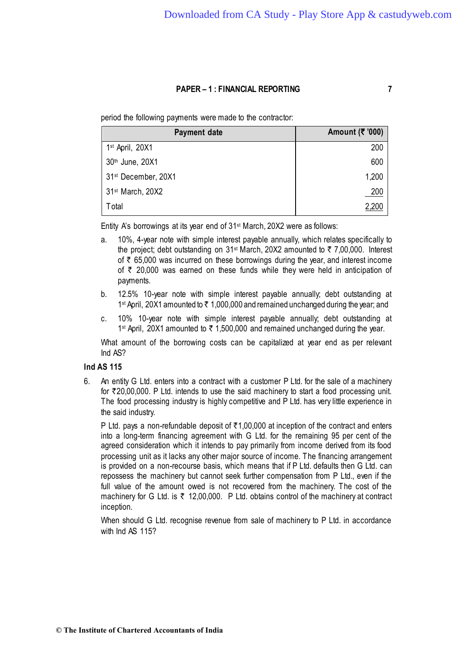period the following payments were made to the contractor:

| Payment date                    | Amount (₹ '000) |
|---------------------------------|-----------------|
| 1 <sup>st</sup> April, 20X1     | 200             |
| 30th June, 20X1                 | 600             |
| 31 <sup>st</sup> December, 20X1 | 1,200           |
| 31 <sup>st</sup> March, 20X2    | 200             |
| Total                           | 2,200           |

Entity A's borrowings at its year end of 31<sup>st</sup> March, 20X2 were as follows:

- 10%, 4-year note with simple interest payable annually, which relates specifically to the project; debt outstanding on 31<sup>st</sup> March, 20X2 amounted to ₹ 7,00,000. Interest of  $\bar{\tau}$  65,000 was incurred on these borrowings during the year, and interest income of  $\bar{\tau}$  20,000 was earned on these funds while they were held in anticipation of payments.
- b. 12.5% 10-year note with simple interest payable annually; debt outstanding at 1<sup>st</sup> April, 20X1 amounted to ₹ 1,000,000 and remained unchanged during the year; and
- c. 10% 10-year note with simple interest payable annually; debt outstanding at 1<sup>st</sup> April, 20X1 amounted to ₹1,500,000 and remained unchanged during the year.

What amount of the borrowing costs can be capitalized at year end as per relevant Ind AS?

## **Ind AS 115**

6. An entity G Ltd. enters into a contract with a customer P Ltd. for the sale of a machinery for  $\overline{x}$ 20,00,000. P Ltd. intends to use the said machinery to start a food processing unit. The food processing industry is highly competitive and P Ltd. has very little experience in the said industry.

P Ltd. pays a non-refundable deposit of  $\overline{51,00,000}$  at inception of the contract and enters into a long-term financing agreement with G Ltd. for the remaining 95 per cent of the agreed consideration which it intends to pay primarily from income derived from its food processing unit as it lacks any other major source of income. The financing arrangement is provided on a non-recourse basis, which means that if P Ltd. defaults then G Ltd. can repossess the machinery but cannot seek further compensation from P Ltd., even if the full value of the amount owed is not recovered from the machinery. The cost of the machinery for G Ltd. is  $\bar{\tau}$  12,00,000. P Ltd. obtains control of the machinery at contract inception.

When should G Ltd. recognise revenue from sale of machinery to P Ltd. in accordance with Ind AS 115?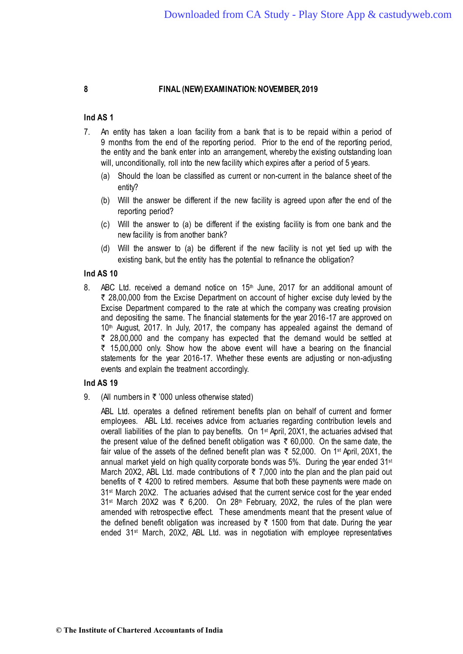#### **Ind AS 1**

- 7. An entity has taken a loan facility from a bank that is to be repaid within a period of 9 months from the end of the reporting period. Prior to the end of the reporting period, the entity and the bank enter into an arrangement, whereby the existing outstanding loan will, unconditionally, roll into the new facility which expires after a period of 5 years.
	- (a) Should the loan be classified as current or non-current in the balance sheet of the entity?
	- (b) Will the answer be different if the new facility is agreed upon after the end of the reporting period?
	- (c) Will the answer to (a) be different if the existing facility is from one bank and the new facility is from another bank?
	- (d) Will the answer to (a) be different if the new facility is not yet tied up with the existing bank, but the entity has the potential to refinance the obligation?

#### **Ind AS 10**

8. ABC Ltd. received a demand notice on  $15<sup>th</sup>$  June, 2017 for an additional amount of  $\bar{\tau}$  28,00,000 from the Excise Department on account of higher excise duty levied by the Excise Department compared to the rate at which the company was creating provision and depositing the same. The financial statements for the year 2016-17 are approved on 10<sup>th</sup> August, 2017. In July, 2017, the company has appealed against the demand of  $\bar{\tau}$  28,00,000 and the company has expected that the demand would be settled at  $\bar{\tau}$  15,00,000 only. Show how the above event will have a bearing on the financial statements for the year 2016-17. Whether these events are adjusting or non-adjusting events and explain the treatment accordingly.

#### **Ind AS 19**

9. (All numbers in  $\bar{\tau}$  '000 unless otherwise stated)

ABL Ltd. operates a defined retirement benefits plan on behalf of current and former employees. ABL Ltd. receives advice from actuaries regarding contribution levels and overall liabilities of the plan to pay benefits. On 1<sup>st</sup> April, 20X1, the actuaries advised that the present value of the defined benefit obligation was  $\bar{\tau}$  60,000. On the same date, the fair value of the assets of the defined benefit plan was  $\bar{\tau}$  52,000. On 1<sup>st</sup> April, 20X1, the annual market yield on high quality corporate bonds was 5%. During the year ended 31<sup>st</sup> March 20X2, ABL Ltd. made contributions of  $\bar{\tau}$  7,000 into the plan and the plan paid out benefits of  $\bar{\tau}$  4200 to retired members. Assume that both these payments were made on 31<sup>st</sup> March 20X2. The actuaries advised that the current service cost for the year ended 31<sup>st</sup> March 20X2 was  $\bar{\tau}$  6,200. On 28<sup>th</sup> February, 20X2, the rules of the plan were amended with retrospective effect. These amendments meant that the present value of the defined benefit obligation was increased by  $\bar{\tau}$  1500 from that date. During the year ended 31st March, 20X2, ABL Ltd. was in negotiation with employee representatives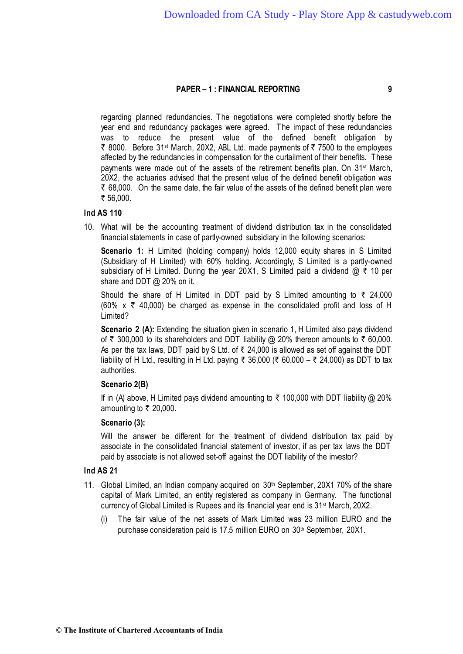regarding planned redundancies. The negotiations were completed shortly before the year end and redundancy packages were agreed. The impact of these redundancies was to reduce the present value of the defined benefit obligation by ₹ 8000. Before 31<sup>st</sup> March, 20X2, ABL Ltd. made payments of  $\bar{z}$  7500 to the employees affected by the redundancies in compensation for the curtailment of their benefits. These payments were made out of the assets of the retirement benefits plan. On 31st March, 20X2, the actuaries advised that the present value of the defined benefit obligation was  $\bar{\tau}$  68,000. On the same date, the fair value of the assets of the defined benefit plan were  $\bar{\tau}$  56.000.

### **Ind AS 110**

10. What will be the accounting treatment of dividend distribution tax in the consolidated financial statements in case of partly-owned subsidiary in the following scenarios:

**Scenario 1:** H Limited (holding company) holds 12,000 equity shares in S Limited (Subsidiary of H Limited) with 60% holding. Accordingly, S Limited is a partly-owned subsidiary of H Limited. During the year 20X1, S Limited paid a dividend  $@ \t{5} 10$  per share and DDT @ 20% on it.

Should the share of H Limited in DDT paid by S Limited amounting to  $\bar{\tau}$  24,000 (60%  $\times$   $\overline{\tau}$  40,000) be charged as expense in the consolidated profit and loss of H Limited?

**Scenario 2 (A):** Extending the situation given in scenario 1, H Limited also pays dividend of  $\bar{\tau}$  300,000 to its shareholders and DDT liability @ 20% thereon amounts to  $\bar{\tau}$  60,000. As per the tax laws, DDT paid by S Ltd. of  $\bar{\tau}$  24,000 is allowed as set off against the DDT liability of H Ltd., resulting in H Ltd. paying ₹ 36,000 (₹ 60,000 – ₹ 24,000) as DDT to tax authorities.

#### **Scenario 2(B)**

If in (A) above, H Limited pays dividend amounting to  $\bar{\tau}$  100,000 with DDT liability @ 20% amounting to  $\bar{\tau}$  20,000.

#### **Scenario (3):**

Will the answer be different for the treatment of dividend distribution tax paid by associate in the consolidated financial statement of investor, if as per tax laws the DDT paid by associate is not allowed set-off against the DDT liability of the investor?

#### **Ind AS 21**

- 11. Global Limited, an Indian company acquired on  $30<sup>th</sup>$  September, 20X1 70% of the share capital of Mark Limited, an entity registered as company in Germany. The functional currency of Global Limited is Rupees and its financial year end is 31st March, 20X2.
	- (i) The fair value of the net assets of Mark Limited was 23 million EURO and the purchase consideration paid is 17.5 million EURO on 30<sup>th</sup> September, 20X1.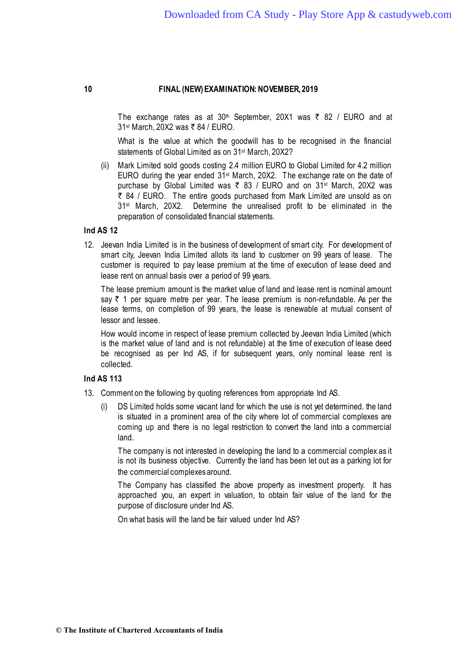The exchange rates as at 30<sup>th</sup> September, 20X1 was  $\bar{\tau}$  82 / EURO and at 31<sup>st</sup> March, 20X2 was ₹ 84 / EURO.

What is the value at which the goodwill has to be recognised in the financial statements of Global Limited as on 31<sup>st</sup> March, 20X2?

(ii) Mark Limited sold goods costing 2.4 million EURO to Global Limited for 4.2 million EURO during the year ended 31<sup>st</sup> March, 20X2. The exchange rate on the date of purchase by Global Limited was ₹ 83 / EURO and on 31<sup>st</sup> March, 20X2 was ₹ 84 / EURO. The entire goods purchased from Mark Limited are unsold as on 31<sup>st</sup> March, 20X2. Determine the unrealised profit to be eliminated in the preparation of consolidated financial statements.

#### **Ind AS 12**

12. Jeevan India Limited is in the business of development of smart city. For development of smart city, Jeevan India Limited allots its land to customer on 99 years of lease. The customer is required to pay lease premium at the time of execution of lease deed and lease rent on annual basis over a period of 99 years.

The lease premium amount is the market value of land and lease rent is nominal amount say  $\bar{\tau}$  1 per square metre per year. The lease premium is non-refundable. As per the lease terms, on completion of 99 years, the lease is renewable at mutual consent of lessor and lessee.

How would income in respect of lease premium collected by Jeevan India Limited (which is the market value of land and is not refundable) at the time of execution of lease deed be recognised as per Ind AS, if for subsequent years, only nominal lease rent is collected.

#### **Ind AS 113**

- 13. Comment on the following by quoting references from appropriate Ind AS.
	- (i) DS Limited holds some vacant land for which the use is not yet determined. the land is situated in a prominent area of the city where lot of commercial complexes are coming up and there is no legal restriction to convert the land into a commercial land.

The company is not interested in developing the land to a commercial complex as it is not its business objective. Currently the land has been let out as a parking lot for the commercial complexes around.

The Company has classified the above property as investment property. It has approached you, an expert in valuation, to obtain fair value of the land for the purpose of disclosure under Ind AS.

On what basis will the land be fair valued under Ind AS?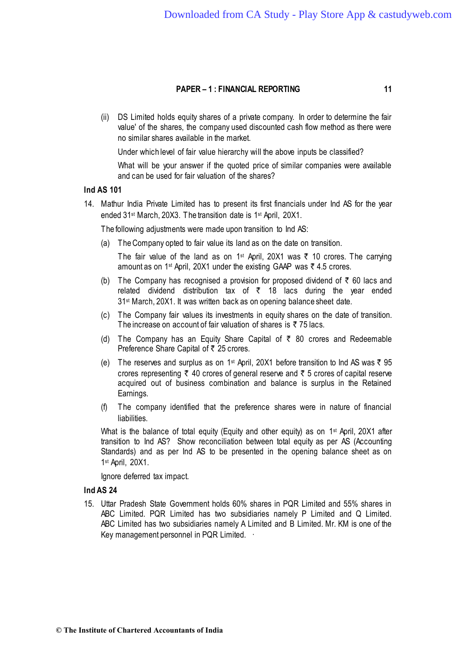(ii) DS Limited holds equity shares of a private company. In order to determine the fair value' of the shares, the company used discounted cash flow method as there were no similar shares available in the market.

Under which level of fair value hierarchy will the above inputs be classified?

What will be your answer if the quoted price of similar companies were available and can be used for fair valuation of the shares?

#### **Ind AS 101**

14. Mathur India Private Limited has to present its first financials under Ind AS for the year ended 31st March, 20X3. The transition date is 1st April, 20X1.

The following adjustments were made upon transition to Ind AS:

(a) The Company opted to fair value its land as on the date on transition.

The fair value of the land as on 1<sup>st</sup> April, 20X1 was ₹ 10 crores. The carrying amount as on 1st April, 20X1 under the existing GAAP was ₹4.5 crores.

- (b) The Company has recognised a provision for proposed dividend of  $\bar{\tau}$  60 lacs and related dividend distribution tax of  $\bar{\tau}$  18 lacs during the year ended 31st March, 20X1. It was written back as on opening balance sheet date.
- (c) The Company fair values its investments in equity shares on the date of transition. The increase on account of fair valuation of shares is  $\bar{\tau}$  75 lacs.
- (d) The Company has an Equity Share Capital of  $\bar{\tau}$  80 crores and Redeemable Preference Share Capital of  $\bar{\tau}$  25 crores.
- (e) The reserves and surplus as on 1<sup>st</sup> April, 20X1 before transition to lnd AS was ₹ 95 crores representing  $\bar{\tau}$  40 crores of general reserve and  $\bar{\tau}$  5 crores of capital reserve acquired out of business combination and balance is surplus in the Retained Earnings.
- (f) The company identified that the preference shares were in nature of financial liabilities.

What is the balance of total equity (Equity and other equity) as on 1<sup>st</sup> April, 20X1 after transition to Ind AS? Show reconciliation between total equity as per AS (Accounting Standards) and as per Ind AS to be presented in the opening balance sheet as on 1 st April, 20X1.

Ignore deferred tax impact.

## **Ind AS 24**

15. Uttar Pradesh State Government holds 60% shares in PQR Limited and 55% shares in ABC Limited. PQR Limited has two subsidiaries namely P Limited and Q Limited. ABC Limited has two subsidiaries namely A Limited and B Limited. Mr. KM is one of the Key management personnel in PQR Limited.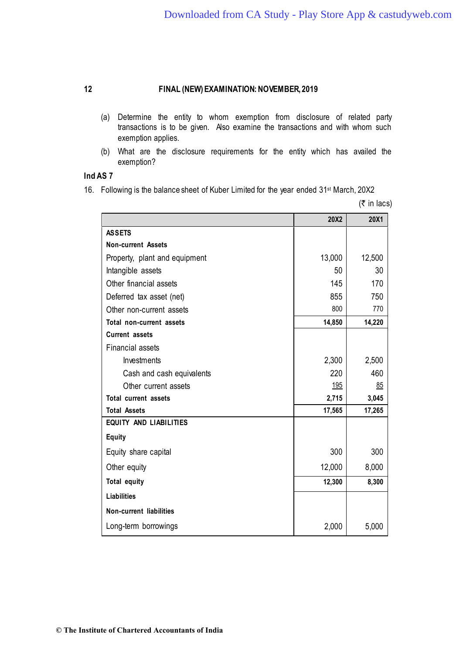- (a) Determine the entity to whom exemption from disclosure of related party transactions is to be given. Also examine the transactions and with whom such exemption applies.
- (b) What are the disclosure requirements for the entity which has availed the exemption?

## **Ind AS 7**

16. Following is the balance sheet of Kuber Limited for the year ended 31st March, 20X2

|                                | 20X2   | 20X1   |
|--------------------------------|--------|--------|
| <b>ASSETS</b>                  |        |        |
| <b>Non-current Assets</b>      |        |        |
| Property, plant and equipment  | 13,000 | 12,500 |
| Intangible assets              | 50     | 30     |
| Other financial assets         | 145    | 170    |
| Deferred tax asset (net)       | 855    | 750    |
| Other non-current assets       | 800    | 770    |
| Total non-current assets       | 14,850 | 14,220 |
| <b>Current assets</b>          |        |        |
| <b>Financial assets</b>        |        |        |
| Investments                    | 2,300  | 2,500  |
| Cash and cash equivalents      | 220    | 460    |
| Other current assets           | 195    | 85     |
| Total current assets           | 2,715  | 3,045  |
| <b>Total Assets</b>            | 17,565 | 17,265 |
| <b>EQUITY AND LIABILITIES</b>  |        |        |
| Equity                         |        |        |
| Equity share capital           | 300    | 300    |
| Other equity                   | 12,000 | 8,000  |
| Total equity                   | 12,300 | 8,300  |
| <b>Liabilities</b>             |        |        |
| <b>Non-current liabilities</b> |        |        |
| Long-term borrowings           | 2,000  | 5,000  |

 $($ ₹ in lacs)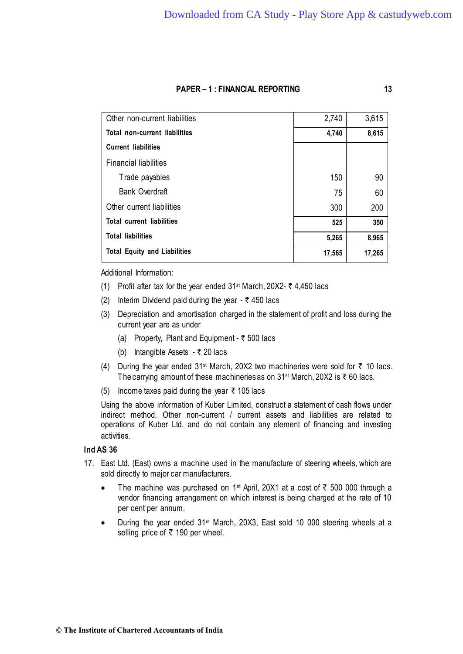| Other non-current liabilities       | 2,740  | 3,615  |
|-------------------------------------|--------|--------|
| Total non-current liabilities       | 4,740  | 8,615  |
| <b>Current liabilities</b>          |        |        |
| <b>Financial liabilities</b>        |        |        |
| Trade payables                      | 150    | 90     |
| <b>Bank Overdraft</b>               | 75     | 60     |
| Other current liabilities           | 300    | 200    |
| <b>Total current liabilities</b>    | 525    | 350    |
| <b>Total liabilities</b>            | 5,265  | 8,965  |
| <b>Total Equity and Liabilities</b> | 17,565 | 17,265 |

Additional Information:

- (1) Profit after tax for the year ended  $31^{st}$  March, 20X2-  $\bar{\tau}$  4,450 lacs
- (2) Interim Dividend paid during the year  $\overline{z}$  450 lacs
- (3) Depreciation and amortisation charged in the statement of profit and loss during the current year are as under
	- (a) Property, Plant and Equipment  $\bar{\tau}$  500 lacs
	- (b) Intangible Assets  $\overline{z}$  20 lacs
- (4) During the year ended 31<sup>st</sup> March, 20X2 two machineries were sold for  $\bar{\tau}$  10 lacs. The carrying amount of these machineries as on 31<sup>st</sup> March, 20X2 is  $\bar{\tau}$  60 lacs.
- (5) Income taxes paid during the year  $\bar{\tau}$  105 lacs

Using the above information of Kuber Limited, construct a statement of cash flows under indirect method. Other non-current / current assets and liabilities are related to operations of Kuber Ltd. and do not contain any element of financing and investing activities.

## **Ind AS 36**

- 17. East Ltd. (East) owns a machine used in the manufacture of steering wheels, which are sold directly to major car manufacturers.
	- The machine was purchased on 1<sup>st</sup> April, 20X1 at a cost of  $\bar{\tau}$  500 000 through a vendor financing arrangement on which interest is being charged at the rate of 10 per cent per annum.
	- During the year ended 31st March, 20X3, East sold 10 000 steering wheels at a selling price of  $\bar{\tau}$  190 per wheel.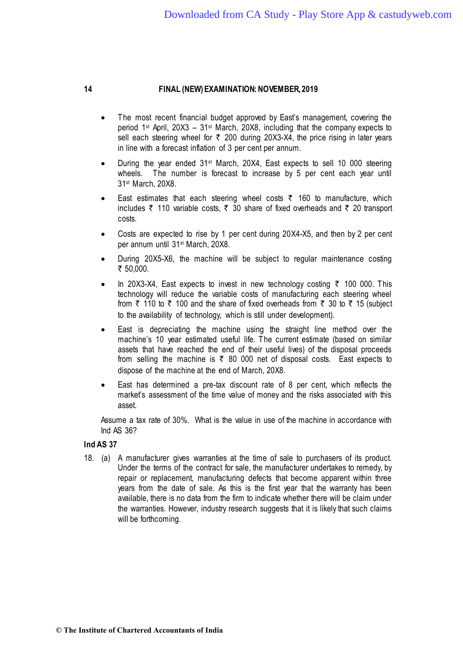- The most recent financial budget approved by East's management, covering the period 1st April, 20X3 – 31st March, 20X8, including that the company expects to sell each steering wheel for  $\bar{\tau}$  200 during 20X3-X4, the price rising in later years in line with a forecast inflation of 3 per cent per annum.
- During the year ended 31<sup>st</sup> March, 20X4, East expects to sell 10 000 steering wheels. The number is forecast to increase by 5 per cent each year until 31st March, 20X8.
- East estimates that each steering wheel costs  $\bar{\tau}$  160 to manufacture, which includes  $\bar{\tau}$  110 variable costs,  $\bar{\tau}$  30 share of fixed overheads and  $\bar{\tau}$  20 transport costs.
- Costs are expected to rise by 1 per cent during 20X4-X5, and then by 2 per cent per annum until 31st March, 20X8.
- During 20X5-X6, the machine will be subject to regular maintenance costing ₹ 50,000.
- In 20X3-X4, East expects to invest in new technology costing  $\bar{\tau}$  100 000. This technology will reduce the variable costs of manufacturing each steering wheel from  $\bar{\tau}$  110 to  $\bar{\tau}$  100 and the share of fixed overheads from  $\bar{\tau}$  30 to  $\bar{\tau}$  15 (subject to the availability of technology, which is still under development).
- East is depreciating the machine using the straight line method over the machine's 10 year estimated useful life. The current estimate (based on similar assets that have reached the end of their useful lives) of the disposal proceeds from selling the machine is  $\bar{\tau}$  80 000 net of disposal costs. East expects to dispose of the machine at the end of March, 20X8.
- East has determined a pre-tax discount rate of 8 per cent, which reflects the market's assessment of the time value of money and the risks associated with this asset.

Assume a tax rate of 30%. What is the value in use of the machine in accordance with Ind AS 36?

#### **Ind AS 37**

18. (a) A manufacturer gives warranties at the time of sale to purchasers of its product. Under the terms of the contract for sale, the manufacturer undertakes to remedy, by repair or replacement, manufacturing defects that become apparent within three years from the date of sale. As this is the first year that the warranty has been available, there is no data from the firm to indicate whether there will be claim under the warranties. However, industry research suggests that it is likely that such claims will be forthcoming.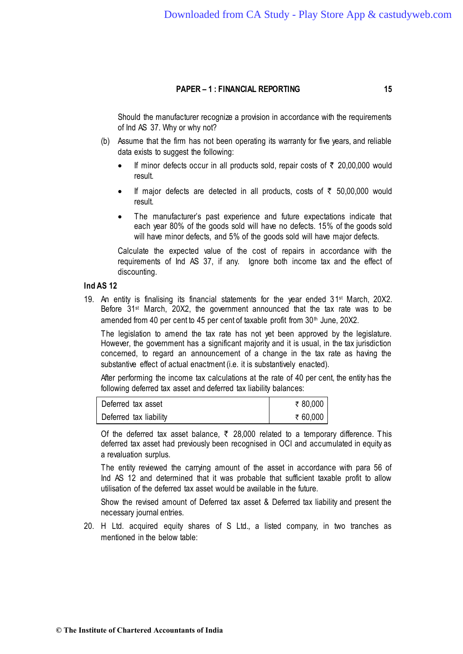Should the manufacturer recognize a provision in accordance with the requirements of Ind AS 37. Why or why not?

- (b) Assume that the firm has not been operating its warranty for five years, and reliable data exists to suggest the following:
	- If minor defects occur in all products sold, repair costs of  $\bar{\tau}$  20,00,000 would result.
	- If major defects are detected in all products, costs of  $\bar{\tau}$  50,00,000 would result.
	- The manufacturer's past experience and future expectations indicate that each year 80% of the goods sold will have no defects. 15% of the goods sold will have minor defects, and 5% of the goods sold will have major defects.

Calculate the expected value of the cost of repairs in accordance with the requirements of Ind AS 37, if any. Ignore both income tax and the effect of discounting.

## **Ind AS 12**

19. An entity is finalising its financial statements for the year ended 31<sup>st</sup> March, 20X2. Before 31<sup>st</sup> March, 20X2, the government announced that the tax rate was to be amended from 40 per cent to 45 per cent of taxable profit from  $30<sup>th</sup>$  June, 20X2.

The legislation to amend the tax rate has not yet been approved by the legislature. However, the government has a significant majority and it is usual, in the tax jurisdiction concerned, to regard an announcement of a change in the tax rate as having the substantive effect of actual enactment (i.e. it is substantively enacted).

After performing the income tax calculations at the rate of 40 per cent, the entity has the following deferred tax asset and deferred tax liability balances:

| Deferred tax asset     | ₹80,000  |
|------------------------|----------|
| Deferred tax liability | ₹ 60,000 |

Of the deferred tax asset balance,  $\overline{\zeta}$  28,000 related to a temporary difference. This deferred tax asset had previously been recognised in OCI and accumulated in equity as a revaluation surplus.

The entity reviewed the carrying amount of the asset in accordance with para 56 of Ind AS 12 and determined that it was probable that sufficient taxable profit to allow utilisation of the deferred tax asset would be available in the future.

Show the revised amount of Deferred tax asset & Deferred tax liability and present the necessary journal entries.

20. H Ltd. acquired equity shares of S Ltd., a listed company, in two tranches as mentioned in the below table: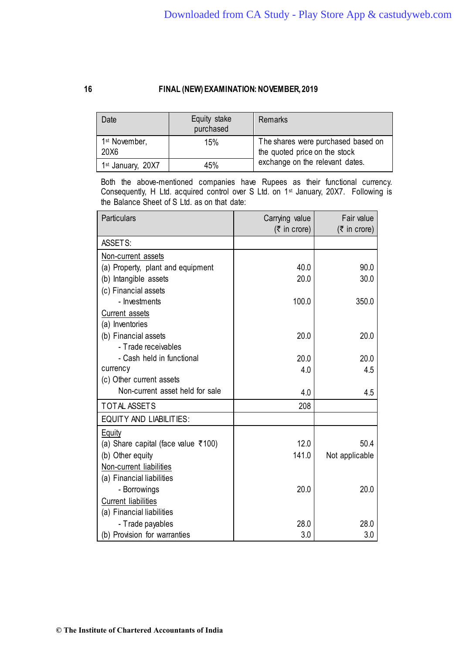| Date                              | Equity stake<br>purchased | <b>Remarks</b>                                                      |
|-----------------------------------|---------------------------|---------------------------------------------------------------------|
| 1 <sup>st</sup> November,<br>20X6 | 15%                       | The shares were purchased based on<br>the quoted price on the stock |
| 1 <sup>st</sup> January, 20X7     | 45%                       | exchange on the relevant dates.                                     |

Both the above-mentioned companies have Rupees as their functional currency. Consequently, H Ltd. acquired control over S Ltd. on 1<sup>st</sup> January, 20X7. Following is the Balance Sheet of S Ltd. as on that date:

| Particulars                         | Carrying value | Fair value     |
|-------------------------------------|----------------|----------------|
|                                     | $(5$ in crore) | (₹ in crore)   |
| <b>ASSETS:</b>                      |                |                |
| Non-current assets                  |                |                |
| (a) Property, plant and equipment   | 40.0           | 90.0           |
| (b) Intangible assets               | 20.0           | 30.0           |
| (c) Financial assets                |                |                |
| - Investments                       | 100.0          | 350.0          |
| Current assets                      |                |                |
| (a) Inventories                     |                |                |
| (b) Financial assets                | 20.0           | 20.0           |
| - Trade receivables                 |                |                |
| - Cash held in functional           | 20.0           | 20.0           |
| currency                            | 4.0            | 4.5            |
| (c) Other current assets            |                |                |
| Non-current asset held for sale     | 4.0            | 4.5            |
| TOTAL ASSETS                        | 208            |                |
| <b>EQUITY AND LIABILITIES:</b>      |                |                |
| Equity                              |                |                |
| (a) Share capital (face value ₹100) | 12.0           | 50.4           |
| (b) Other equity                    | 141.0          | Not applicable |
| Non-current liabilities             |                |                |
| (a) Financial liabilities           |                |                |
| - Borrowings                        | 20.0           | 20.0           |
| <b>Current liabilities</b>          |                |                |
| (a) Financial liabilities           |                |                |
| - Trade payables                    | 28.0           | 28.0           |
| (b) Provision for warranties        | 3.0            | 3.0            |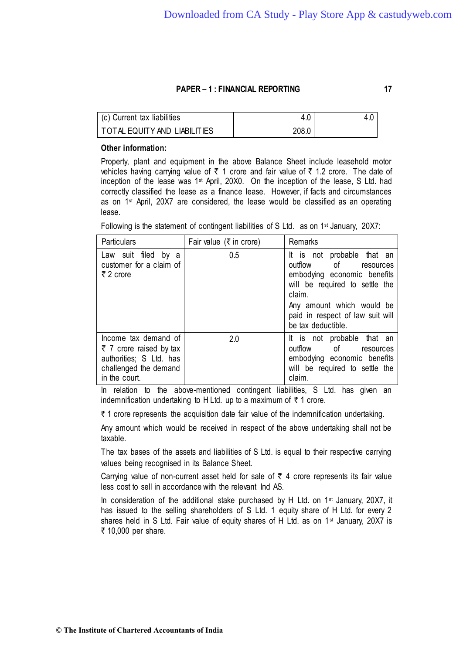| (c) Current tax liabilities  |       |  |
|------------------------------|-------|--|
| TOTAL EQUITY AND LIABILITIES | 208.0 |  |

#### **Other information:**

Property, plant and equipment in the above Balance Sheet include leasehold motor vehicles having carrying value of  $\bar{\tau}$  1 crore and fair value of  $\bar{\tau}$  1.2 crore. The date of inception of the lease was 1st April, 20X0. On the inception of the lease, S Ltd. had correctly classified the lease as a finance lease. However, if facts and circumstances as on 1st April, 20X7 are considered, the lease would be classified as an operating lease.

Following is the statement of contingent liabilities of S Ltd. as on 1<sup>st</sup> January, 20X7:

| <b>Particulars</b>                                                                                                   | Fair value ( $\bar{\tau}$ in crore) | Remarks                                                                                                                                                                                                              |
|----------------------------------------------------------------------------------------------------------------------|-------------------------------------|----------------------------------------------------------------------------------------------------------------------------------------------------------------------------------------------------------------------|
| Law suit filed by a<br>customer for a claim of<br>₹ 2 crore                                                          | 0.5                                 | It is not probable that an<br>outflow of resources<br>embodying economic benefits<br>will be required to settle the<br>claim.<br>Any amount which would be<br>paid in respect of law suit will<br>be tax deductible. |
| Income tax demand of<br>₹ 7 crore raised by tax<br>authorities; S Ltd. has<br>challenged the demand<br>in the court. | 2.0                                 | It is not probable that an<br>outflow of resources<br>embodying economic benefits<br>will be required to settle the<br>claim.                                                                                        |

In relation to the above-mentioned contingent liabilities, S Ltd. has given an indemnification undertaking to H Ltd. up to a maximum of  $\bar{\tau}$  1 crore.

 $\bar{\tau}$  1 crore represents the acquisition date fair value of the indemnification undertaking.

Any amount which would be received in respect of the above undertaking shall not be taxable.

The tax bases of the assets and liabilities of S Ltd. is equal to their respective carrying values being recognised in its Balance Sheet.

Carrying value of non-current asset held for sale of  $\bar{\tau}$  4 crore represents its fair value less cost to sell in accordance with the relevant Ind AS.

In consideration of the additional stake purchased by H Ltd. on 1<sup>st</sup> January, 20X7, it has issued to the selling shareholders of S Ltd. 1 equity share of H Ltd. for every 2 shares held in S Ltd. Fair value of equity shares of H Ltd. as on  $1<sup>st</sup>$  January, 20X7 is ₹ 10,000 per share.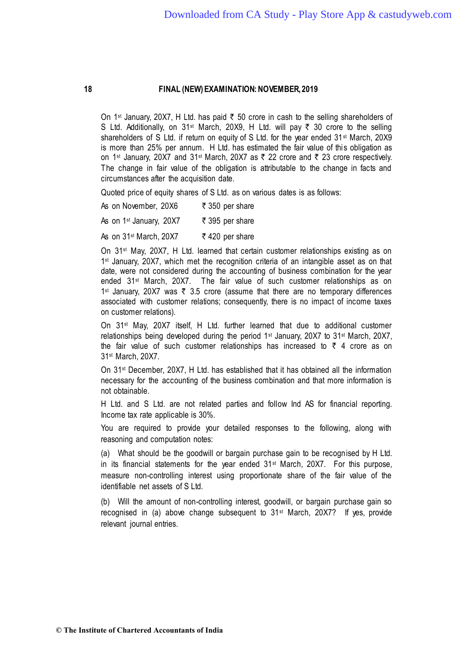On 1<sup>st</sup> January, 20X7, H Ltd. has paid  $\bar{\tau}$  50 crore in cash to the selling shareholders of S Ltd. Additionally, on 31<sup>st</sup> March, 20X9, H Ltd. will pay  $\bar{\tau}$  30 crore to the selling shareholders of S Ltd. if return on equity of S Ltd. for the year ended 31st March, 20X9 is more than 25% per annum. H Ltd. has estimated the fair value of this obligation as on 1<sup>st</sup> January, 20X7 and 31<sup>st</sup> March, 20X7 as  $\bar{\tau}$  22 crore and  $\bar{\tau}$  23 crore respectively. The change in fair value of the obligation is attributable to the change in facts and circumstances after the acquisition date.

Quoted price of equity shares of S Ltd. as on various dates is as follows:

| As on November, 20X6 |  |  | ₹ 350 per share |
|----------------------|--|--|-----------------|
|----------------------|--|--|-----------------|

As on 1<sup>st</sup> January, 20X7  $\bar{\tau}$  395 per share

As on 31<sup>st</sup> March, 20X7  $\bar{z}$  420 per share

On 31st May, 20X7, H Ltd. learned that certain customer relationships existing as on 1<sup>st</sup> January, 20X7, which met the recognition criteria of an intangible asset as on that date, were not considered during the accounting of business combination for the year ended 31st March, 20X7. The fair value of such customer relationships as on 1<sup>st</sup> January, 20X7 was  $\bar{\tau}$  3.5 crore (assume that there are no temporary differences associated with customer relations; consequently, there is no impact of income taxes on customer relations).

On 31st May, 20X7 itself, H Ltd. further learned that due to additional customer relationships being developed during the period 1st January, 20X7 to 31st March, 20X7, the fair value of such customer relationships has increased to  $\bar{\tau}$  4 crore as on 31st March, 20X7.

On 31st December, 20X7, H Ltd. has established that it has obtained all the information necessary for the accounting of the business combination and that more information is not obtainable.

H Ltd. and S Ltd. are not related parties and follow Ind AS for financial reporting. Income tax rate applicable is 30%.

You are required to provide your detailed responses to the following, along with reasoning and computation notes:

(a) What should be the goodwill or bargain purchase gain to be recognised by H Ltd. in its financial statements for the year ended 31<sup>st</sup> March, 20X7. For this purpose, measure non-controlling interest using proportionate share of the fair value of the identifiable net assets of S Ltd.

(b) Will the amount of non-controlling interest, goodwill, or bargain purchase gain so recognised in (a) above change subsequent to 31st March, 20X7? If yes, provide relevant journal entries.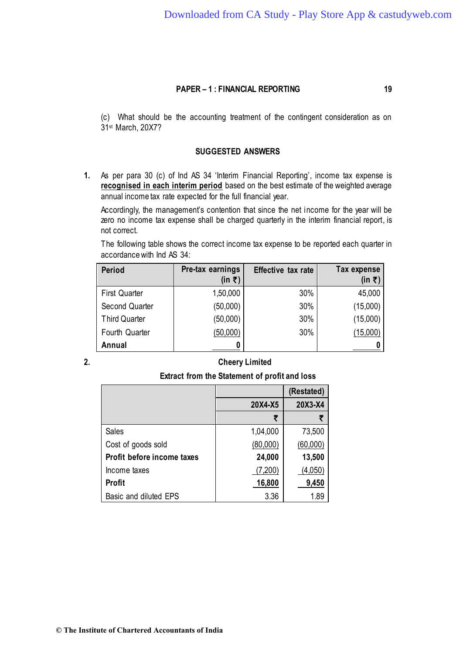(c) What should be the accounting treatment of the contingent consideration as on 31st March, 20X7?

#### **SUGGESTED ANSWERS**

**1.** As per para 30 (c) of Ind AS 34 'Interim Financial Reporting', income tax expense is **recognised in each interim period** based on the best estimate of the weighted average annual income tax rate expected for the full financial year.

Accordingly, the management's contention that since the net income for the year will be zero no income tax expense shall be charged quarterly in the interim financial report, is not correct.

The following table shows the correct income tax expense to be reported each quarter in accordance with Ind AS 34:

| <b>Period</b>        | Pre-tax earnings | Effective tax rate | Tax expense |
|----------------------|------------------|--------------------|-------------|
|                      | (in ₹)           |                    | (in ₹)      |
| <b>First Quarter</b> | 1,50,000         | 30%                | 45,000      |
| Second Quarter       | (50,000)         | 30%                | (15,000)    |
| <b>Third Quarter</b> | (50,000)         | 30%                | (15,000)    |
| Fourth Quarter       | (50,000)         | 30%                | (15,000)    |
| Annual               |                  |                    |             |

#### **2. Cheery Limited**

#### **Extract from the Statement of profit and loss**

|                            |          | (Restated) |
|----------------------------|----------|------------|
|                            | 20X4-X5  | 20X3-X4    |
|                            | ₹        | ₹          |
| <b>Sales</b>               | 1,04,000 | 73,500     |
| Cost of goods sold         | (80,000) | (60, 000)  |
| Profit before income taxes | 24,000   | 13,500     |
| Income taxes               | (7,200)  | (4,050)    |
| <b>Profit</b>              | 16,800   | 9,450      |
| Basic and diluted EPS      | 3.36     | 1.89       |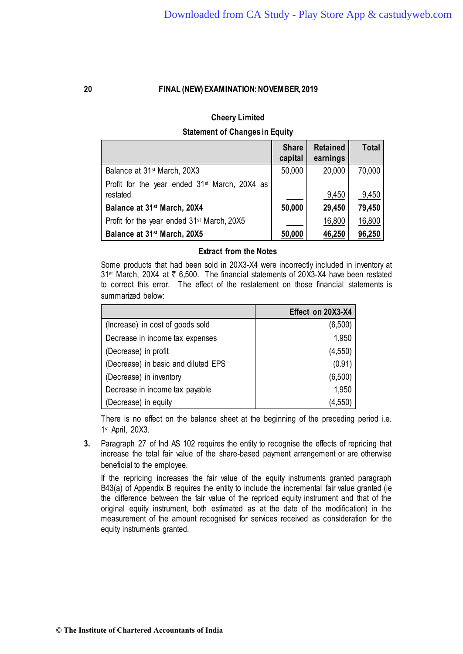## **Cheery Limited**

### **Statement of Changes in Equity**

|                                                                       | <b>Share</b><br>capital | <b>Retained</b><br>earnings | <b>Total</b> |
|-----------------------------------------------------------------------|-------------------------|-----------------------------|--------------|
| Balance at 31 <sup>st</sup> March, 20X3                               | 50,000                  | 20,000                      | 70,000       |
| Profit for the year ended 31 <sup>st</sup> March, 20X4 as<br>restated |                         | 9,450                       | 9,450        |
| Balance at 31 <sup>st</sup> March, 20X4                               | 50,000                  | 29,450                      | 79,450       |
| Profit for the year ended 31 <sup>st</sup> March, 20X5                |                         | 16,800                      | 16,800       |
| Balance at 31 <sup>st</sup> March, 20X5                               | 50,000                  | 46,250                      | 96,250       |

## **Extract from the Notes**

Some products that had been sold in 20X3-X4 were incorrectly included in inventory at  $31$ <sup>st</sup> March, 20X4 at  $\bar{\tau}$  6,500. The financial statements of 20X3-X4 have been restated to correct this error. The effect of the restatement on those financial statements is summarized below:

|                                     | Effect on 20X3-X4 |
|-------------------------------------|-------------------|
| (Increase) in cost of goods sold    | (6,500)           |
| Decrease in income tax expenses     | 1,950             |
| (Decrease) in profit                | (4,550)           |
| (Decrease) in basic and diluted EPS | (0.91)            |
| (Decrease) in inventory             | (6,500)           |
| Decrease in income tax payable      | 1,950             |
| (Decrease) in equity                | (4,550            |

There is no effect on the balance sheet at the beginning of the preceding period i.e. 1 st April, 20X3.

**3.** Paragraph 27 of Ind AS 102 requires the entity to recognise the effects of repricing that increase the total fair value of the share-based payment arrangement or are otherwise beneficial to the employee.

If the repricing increases the fair value of the equity instruments granted paragraph B43(a) of Appendix B requires the entity to include the incremental fair value granted (ie the difference between the fair value of the repriced equity instrument and that of the original equity instrument, both estimated as at the date of the modification) in the measurement of the amount recognised for services received as consideration for the equity instruments granted.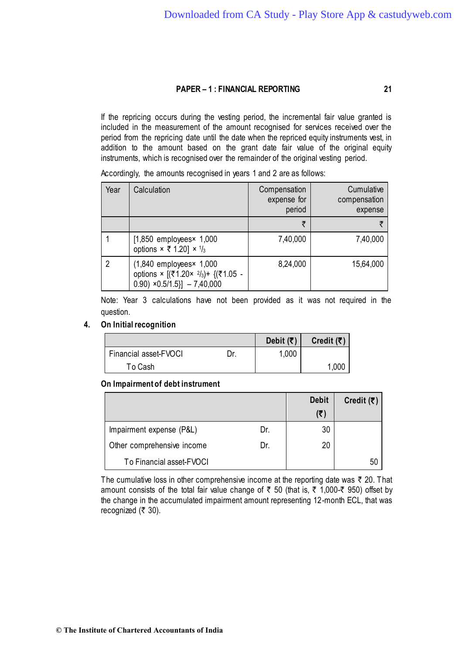If the repricing occurs during the vesting period, the incremental fair value granted is included in the measurement of the amount recognised for services received over the period from the repricing date until the date when the repriced equity instruments vest, in addition to the amount based on the grant date fair value of the original equity instruments, which is recognised over the remainder of the original vesting period.

Accordingly, the amounts recognised in years 1 and 2 are as follows:

| Year | Calculation                                                                                                  | Compensation<br>expense for<br>period | Cumulative<br>compensation<br>expense |
|------|--------------------------------------------------------------------------------------------------------------|---------------------------------------|---------------------------------------|
|      |                                                                                                              | ₹                                     |                                       |
|      | $[1,850$ employees $\times$ 1,000<br>options $\times \overline{\xi}$ 1.20] $\times \frac{1}{3}$              | 7,40,000                              | 7,40,000                              |
| 2    | $(1,840$ employees $\times$ 1,000<br>options × [(₹1.20× 2/3)+ {(₹1.05 -<br>$0.90$ ) × $0.5/1.5$ ] - 7,40,000 | 8,24,000                              | 15,64,000                             |

Note: Year 3 calculations have not been provided as it was not required in the question.

## **4. On Initial recognition**

|                       |     | Debit $(\bar{\tau})$ | Credit $(\bar{\tau})$ |
|-----------------------|-----|----------------------|-----------------------|
| Financial asset-FVOCI | Dr. | 1,000                |                       |
| To Cash               |     |                      | 1,000                 |

#### **On Impairment of debt instrument**

|                            |     | <b>Debit</b><br>(₹) | Credit $(\bar{\tau})$ |
|----------------------------|-----|---------------------|-----------------------|
| Impairment expense (P&L)   | Dr. | 30                  |                       |
| Other comprehensive income | Dr. | 20                  |                       |
| To Financial asset-FVOCI   |     |                     | 50                    |

The cumulative loss in other comprehensive income at the reporting date was  $\bar{\tau}$  20. That amount consists of the total fair value change of  $\bar{\tau}$  50 (that is,  $\bar{\tau}$  1,000- $\bar{\tau}$  950) offset by the change in the accumulated impairment amount representing 12-month ECL, that was recognized ( $\bar{\tau}$  30).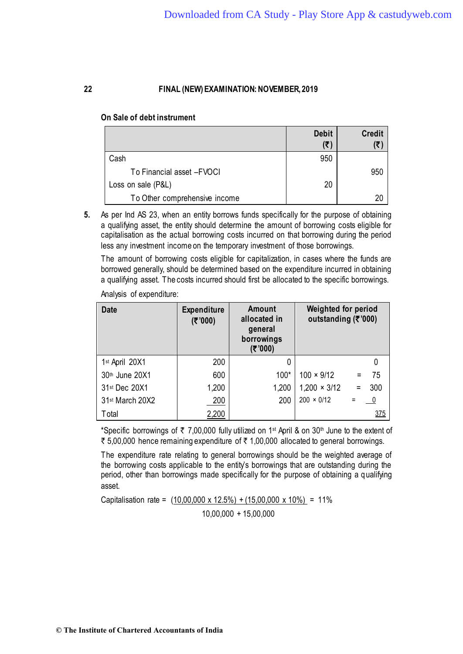#### **On Sale of debt instrument**

|                               | <b>Debit</b><br>(₹) | <b>Credit</b> |
|-------------------------------|---------------------|---------------|
| Cash                          | 950                 |               |
| To Financial asset -FVOCI     |                     | 950           |
| Loss on sale (P&L)            | 20                  |               |
| To Other comprehensive income |                     | 20            |

**5.** As per Ind AS 23, when an entity borrows funds specifically for the purpose of obtaining a qualifying asset, the entity should determine the amount of borrowing costs eligible for capitalisation as the actual borrowing costs incurred on that borrowing during the period less any investment income on the temporary investment of those borrowings.

The amount of borrowing costs eligible for capitalization, in cases where the funds are borrowed generally, should be determined based on the expenditure incurred in obtaining a qualifying asset. The costs incurred should first be allocated to the specific borrowings.

Analysis of expenditure:

| <b>Date</b>                 | <b>Expenditure</b><br>(300) | Amount<br>allocated in<br>general<br>borrowings<br>(そ'000) | <b>Weighted for period</b><br>outstanding (₹'000) |   |     |
|-----------------------------|-----------------------------|------------------------------------------------------------|---------------------------------------------------|---|-----|
| 1st April 20X1              | 200                         | 0                                                          |                                                   |   | 0   |
| 30th June 20X1              | 600                         | 100*                                                       | $100 \times 9/12$                                 |   | 75  |
| 31st Dec 20X1               | 1,200                       | 1,200                                                      | $1,200 \times 3/12$                               |   | 300 |
| 31 <sup>st</sup> March 20X2 | 200                         | 200                                                        | $200 \times 0/12$                                 | Ξ |     |
| Total                       | 2,200                       |                                                            |                                                   |   | 375 |

\*Specific borrowings of  $\bar{\tau}$  7,00,000 fully utilized on 1<sup>st</sup> April & on 30<sup>th</sup> June to the extent of ₹ 5,00,000 hence remaining expenditure of ₹ 1,00,000 allocated to general borrowings.

The expenditure rate relating to general borrowings should be the weighted average of the borrowing costs applicable to the entity's borrowings that are outstanding during the period, other than borrowings made specifically for the purpose of obtaining a qualifying asset.

Capitalisation rate =  $(10,00,000 \times 12.5\%) + (15,00,000 \times 10\%) = 11\%$ 10,00,000 + 15,00,000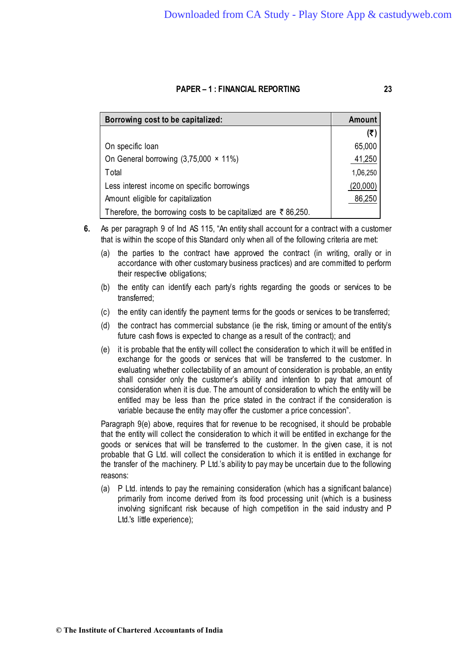| ٩ |             |
|---|-------------|
|   | I<br>×<br>٧ |

| Borrowing cost to be capitalized:                                              | Amount   |
|--------------------------------------------------------------------------------|----------|
|                                                                                | (5)      |
| On specific loan                                                               | 65,000   |
| On General borrowing $(3,75,000 \times 11\%)$                                  | 41,250   |
| Total                                                                          | 1,06,250 |
| Less interest income on specific borrowings                                    | (20,000) |
| Amount eligible for capitalization                                             | 86,250   |
| Therefore, the borrowing costs to be capitalized are $\overline{\tau}$ 86,250. |          |

- **6.** As per paragraph 9 of Ind AS 115, "An entity shall account for a contract with a customer that is within the scope of this Standard only when all of the following criteria are met:
	- (a) the parties to the contract have approved the contract (in writing, orally or in accordance with other customary business practices) and are committed to perform their respective obligations;
	- (b) the entity can identify each party's rights regarding the goods or services to be transferred;
	- (c) the entity can identify the payment terms for the goods or services to be transferred;
	- (d) the contract has commercial substance (ie the risk, timing or amount of the entity's future cash flows is expected to change as a result of the contract); and
	- (e) it is probable that the entity will collect the consideration to which it will be entitled in exchange for the goods or services that will be transferred to the customer. In evaluating whether collectability of an amount of consideration is probable, an entity shall consider only the customer's ability and intention to pay that amount of consideration when it is due. The amount of consideration to which the entity will be entitled may be less than the price stated in the contract if the consideration is variable because the entity may offer the customer a price concession".

Paragraph 9(e) above, requires that for revenue to be recognised, it should be probable that the entity will collect the consideration to which it will be entitled in exchange for the goods or services that will be transferred to the customer. In the given case, it is not probable that G Ltd. will collect the consideration to which it is entitled in exchange for the transfer of the machinery. P Ltd.'s ability to pay may be uncertain due to the following reasons:

(a) P Ltd. intends to pay the remaining consideration (which has a significant balance) primarily from income derived from its food processing unit (which is a business involving significant risk because of high competition in the said industry and P Ltd.'s little experience);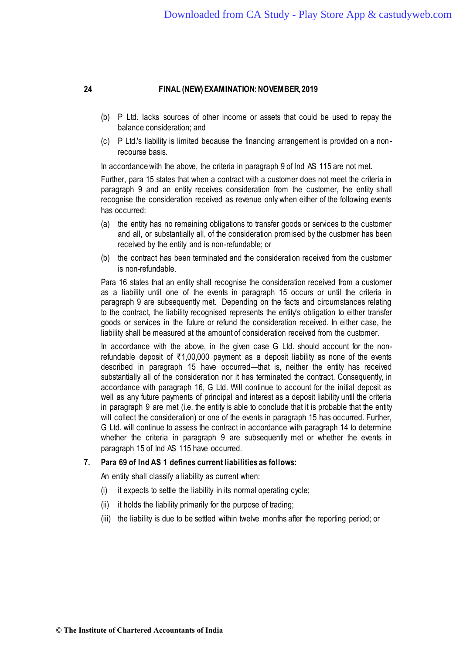- (b) P Ltd. lacks sources of other income or assets that could be used to repay the balance consideration; and
- (c) P Ltd.'s liability is limited because the financing arrangement is provided on a nonrecourse basis.

In accordance with the above, the criteria in paragraph 9 of Ind AS 115 are not met.

Further, para 15 states that when a contract with a customer does not meet the criteria in paragraph 9 and an entity receives consideration from the customer, the entity shall recognise the consideration received as revenue only when either of the following events has occurred:

- (a) the entity has no remaining obligations to transfer goods or services to the customer and all, or substantially all, of the consideration promised by the customer has been received by the entity and is non-refundable; or
- (b) the contract has been terminated and the consideration received from the customer is non-refundable.

Para 16 states that an entity shall recognise the consideration received from a customer as a liability until one of the events in paragraph 15 occurs or until the criteria in paragraph 9 are subsequently met. Depending on the facts and circumstances relating to the contract, the liability recognised represents the entity's obligation to either transfer goods or services in the future or refund the consideration received. In either case, the liability shall be measured at the amount of consideration received from the customer.

In accordance with the above, in the given case G Ltd. should account for the nonrefundable deposit of  $\overline{\epsilon}$ 1,00,000 payment as a deposit liability as none of the events described in paragraph 15 have occurred—that is, neither the entity has received substantially all of the consideration nor it has terminated the contract. Consequently, in accordance with paragraph 16, G Ltd. Will continue to account for the initial deposit as well as any future payments of principal and interest as a deposit liability until the criteria in paragraph 9 are met (i.e. the entity is able to conclude that it is probable that the entity will collect the consideration) or one of the events in paragraph 15 has occurred. Further, G Ltd. will continue to assess the contract in accordance with paragraph 14 to determine whether the criteria in paragraph 9 are subsequently met or whether the events in paragraph 15 of Ind AS 115 have occurred.

#### **7. Para 69 of Ind AS 1 defines current liabilities as follows:**

An entity shall classify a liability as current when:

- (i) it expects to settle the liability in its normal operating cycle;
- (ii) it holds the liability primarily for the purpose of trading;
- (iii) the liability is due to be settled within twelve months after the reporting period; or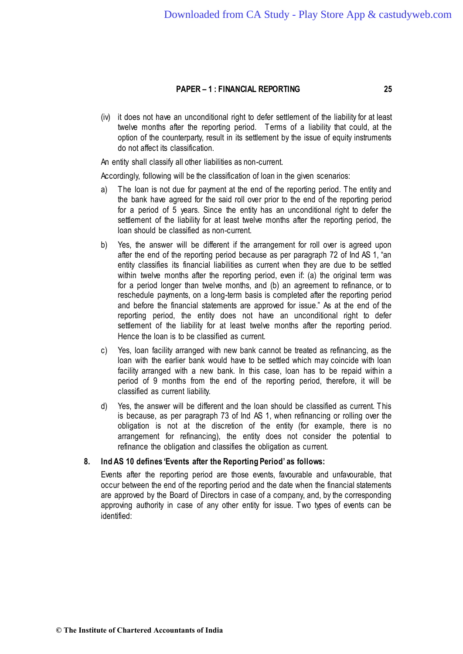(iv) it does not have an unconditional right to defer settlement of the liability for at least twelve months after the reporting period. Terms of a liability that could, at the option of the counterparty, result in its settlement by the issue of equity instruments do not affect its classification.

An entity shall classify all other liabilities as non-current.

Accordingly, following will be the classification of loan in the given scenarios:

- a) The loan is not due for payment at the end of the reporting period. The entity and the bank have agreed for the said roll over prior to the end of the reporting period for a period of 5 years. Since the entity has an unconditional right to defer the settlement of the liability for at least twelve months after the reporting period, the loan should be classified as non-current.
- b) Yes, the answer will be different if the arrangement for roll over is agreed upon after the end of the reporting period because as per paragraph 72 of Ind AS 1, "an entity classifies its financial liabilities as current when they are due to be settled within twelve months after the reporting period, even if: (a) the original term was for a period longer than twelve months, and (b) an agreement to refinance, or to reschedule payments, on a long-term basis is completed after the reporting period and before the financial statements are approved for issue." As at the end of the reporting period, the entity does not have an unconditional right to defer settlement of the liability for at least twelve months after the reporting period. Hence the loan is to be classified as current.
- c) Yes, loan facility arranged with new bank cannot be treated as refinancing, as the loan with the earlier bank would have to be settled which may coincide with loan facility arranged with a new bank. In this case, loan has to be repaid within a period of 9 months from the end of the reporting period, therefore, it will be classified as current liability.
- d) Yes, the answer will be different and the loan should be classified as current. This is because, as per paragraph 73 of Ind AS 1, when refinancing or rolling over the obligation is not at the discretion of the entity (for example, there is no arrangement for refinancing), the entity does not consider the potential to refinance the obligation and classifies the obligation as current.

#### **8. Ind AS 10 defines 'Events after the Reporting Period' as follows:**

Events after the reporting period are those events, favourable and unfavourable, that occur between the end of the reporting period and the date when the financial statements are approved by the Board of Directors in case of a company, and, by the corresponding approving authority in case of any other entity for issue. Two types of events can be identified: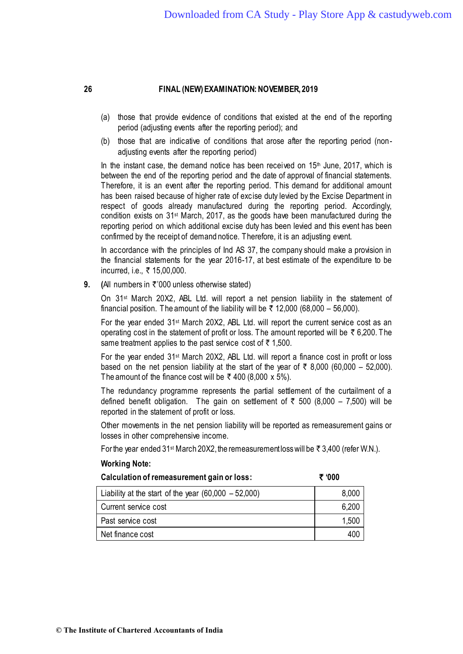- (a) those that provide evidence of conditions that existed at the end of the reporting period (adjusting events after the reporting period); and
- (b) those that are indicative of conditions that arose after the reporting period (nonadjusting events after the reporting period)

In the instant case, the demand notice has been received on  $15<sup>th</sup>$  June, 2017, which is between the end of the reporting period and the date of approval of financial statements. Therefore, it is an event after the reporting period. This demand for additional amount has been raised because of higher rate of excise duty levied by the Excise Department in respect of goods already manufactured during the reporting period. Accordingly, condition exists on 31st March, 2017, as the goods have been manufactured during the reporting period on which additional excise duty has been levied and this event has been confirmed by the receipt of demand notice. Therefore, it is an adjusting event.

In accordance with the principles of Ind AS 37, the company should make a provision in the financial statements for the year 2016-17, at best estimate of the expenditure to be incurred, i.e., ₹ 15,00,000.

**9.** (All numbers in ₹'000 unless otherwise stated)

On 31st March 20X2, ABL Ltd. will report a net pension liability in the statement of financial position. The amount of the liability will be  $\bar{\tau}$  12,000 (68,000 – 56,000).

For the year ended 31st March 20X2, ABL Ltd. will report the current service cost as an operating cost in the statement of profit or loss. The amount reported will be  $\bar{\tau}$  6,200. The same treatment applies to the past service cost of  $\bar{\tau}$  1,500.

For the year ended 31st March 20X2, ABL Ltd. will report a finance cost in profit or loss based on the net pension liability at the start of the year of  $\bar{\tau}$  8,000 (60,000 – 52,000). The amount of the finance cost will be  $\bar{\tau}$  400 (8,000 x 5%).

The redundancy programme represents the partial settlement of the curtailment of a defined benefit obligation. The gain on settlement of  $\bar{\tau}$  500 (8,000 – 7,500) will be reported in the statement of profit or loss.

Other movements in the net pension liability will be reported as remeasurement gains or losses in other comprehensive income.

For the year ended 31<sup>st</sup> March 20X2, the remeasurement loss will be  $\bar{\tau}$  3,400 (refer W.N.).

#### **Working Note:**

| Calculation of remeasurement gain or loss:             | ₹ '000 |
|--------------------------------------------------------|--------|
| Liability at the start of the year $(60,000 - 52,000)$ | 8,000  |
| Current service cost                                   | 6,200  |
| Past service cost                                      | 1,500  |
| Net finance cost                                       | 40 N   |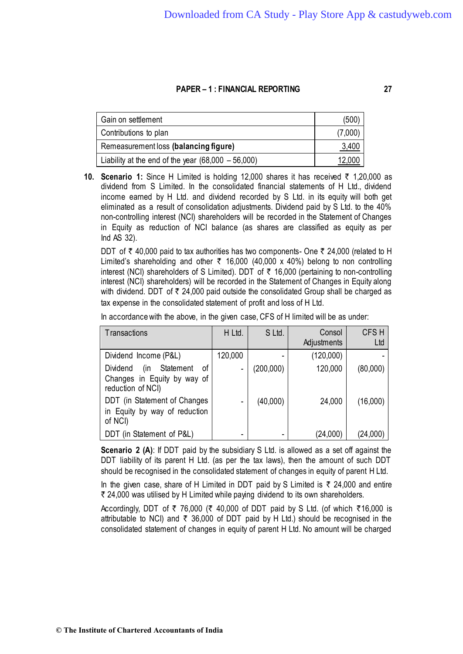| Gain on settlement                                   | (500)   |
|------------------------------------------------------|---------|
| Contributions to plan                                | (7,000) |
| Remeasurement loss (balancing figure)                | 3,400   |
| Liability at the end of the year $(68,000 - 56,000)$ | 12,000  |

**10. Scenario 1:** Since H Limited is holding 12,000 shares it has received ` 1,20,000 as dividend from S Limited. In the consolidated financial statements of H Ltd., dividend income earned by H Ltd. and dividend recorded by S Ltd. in its equity will both get eliminated as a result of consolidation adjustments. Dividend paid by S Ltd. to the 40% non-controlling interest (NCI) shareholders will be recorded in the Statement of Changes in Equity as reduction of NCI balance (as shares are classified as equity as per Ind AS 32).

DDT of  $\bar{\tau}$  40,000 paid to tax authorities has two components- One  $\bar{\tau}$  24,000 (related to H Limited's shareholding and other  $\bar{\tau}$  16,000 (40,000 x 40%) belong to non controlling interest (NCI) shareholders of S Limited). DDT of  $\bar{\tau}$  16,000 (pertaining to non-controlling interest (NCI) shareholders) will be recorded in the Statement of Changes in Equity along with dividend. DDT of  $\bar{\tau}$  24,000 paid outside the consolidated Group shall be charged as tax expense in the consolidated statement of profit and loss of H Ltd.

| <b>Transactions</b>                                                                 | H Ltd.         | S Ltd.    | Consol<br>Adjustments | CFS <sub>H</sub><br>Ltd |
|-------------------------------------------------------------------------------------|----------------|-----------|-----------------------|-------------------------|
| Dividend Income (P&L)                                                               | 120,000        |           | (120,000)             |                         |
| Statement of<br>Dividend<br>(in<br>Changes in Equity by way of<br>reduction of NCI) | $\blacksquare$ | (200,000) | 120,000               | (80,000)                |
| DDT (in Statement of Changes<br>in Equity by way of reduction<br>of NCI)            | -              | (40,000)  | 24,000                | (16,000)                |
| DDT (in Statement of P&L)                                                           | -              |           | (24,000)              | (24,000)                |

In accordance with the above, in the given case, CFS of H limited will be as under:

**Scenario 2 (A)**: If DDT paid by the subsidiary S Ltd. is allowed as a set off against the DDT liability of its parent H Ltd. (as per the tax laws), then the amount of such DDT should be recognised in the consolidated statement of changes in equity of parent H Ltd.

In the given case, share of H Limited in DDT paid by S Limited is  $\bar{\tau}$  24,000 and entire ₹ 24,000 was utilised by H Limited while paying dividend to its own shareholders.

Accordingly, DDT of  $\bar{\tau}$  76,000 ( $\bar{\tau}$  40,000 of DDT paid by S Ltd. (of which  $\bar{\tau}$ 16,000 is attributable to NCI) and  $\bar{\tau}$  36,000 of DDT paid by H Ltd.) should be recognised in the consolidated statement of changes in equity of parent H Ltd. No amount will be charged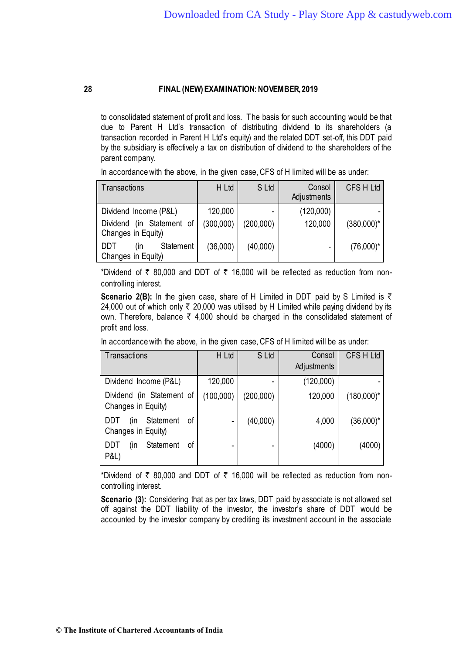to consolidated statement of profit and loss. The basis for such accounting would be that due to Parent H Ltd's transaction of distributing dividend to its shareholders (a transaction recorded in Parent H Ltd's equity) and the related DDT set-off, this DDT paid by the subsidiary is effectively a tax on distribution of dividend to the shareholders of the parent company.

In accordance with the above, in the given case, CFS of H limited will be as under:

| <b>Transactions</b>                             | H Ltd      | S Ltd                    | Consol<br>Adjustments | <b>CFS H Ltd</b> |
|-------------------------------------------------|------------|--------------------------|-----------------------|------------------|
| Dividend Income (P&L)                           | 120,000    | $\overline{\phantom{0}}$ | (120,000)             |                  |
| Dividend (in Statement of<br>Changes in Equity) | (300, 000) | (200,000)                | 120,000               | $(380,000)^*$    |
| DDT<br>Statement<br>(in<br>Changes in Equity)   | (36,000)   | (40,000)                 | -                     | $(76,000)^*$     |

\*Dividend of  $\bar{\tau}$  80,000 and DDT of  $\bar{\tau}$  16,000 will be reflected as reduction from noncontrolling interest.

**Scenario 2(B):** In the given case, share of H Limited in DDT paid by S Limited is  $\bar{\tau}$ 24,000 out of which only  $\bar{\tau}$  20,000 was utilised by H Limited while paying dividend by its own. Therefore, balance  $\bar{\tau}$  4,000 should be charged in the consolidated statement of profit and loss.

In accordance with the above, in the given case, CFS of H limited will be as under:

| <b>Transactions</b>                                 | H Ltd     | S Ltd     | Consol      | <b>CFS H Ltd</b> |
|-----------------------------------------------------|-----------|-----------|-------------|------------------|
|                                                     |           |           | Adjustments |                  |
| Dividend Income (P&L)                               | 120,000   |           | (120,000)   |                  |
| Dividend (in Statement of<br>Changes in Equity)     | (100,000) | (200,000) | 120,000     | $(180,000)^*$    |
| Statement<br>(in<br>οf<br>DDT<br>Changes in Equity) |           | (40,000)  | 4,000       | $(36,000)^*$     |
| Statement<br>DDT<br>οf<br>(in<br><b>P&amp;L)</b>    |           |           | (4000)      | (4000)           |

\*Dividend of  $\bar{\tau}$  80,000 and DDT of  $\bar{\tau}$  16,000 will be reflected as reduction from noncontrolling interest.

**Scenario (3):** Considering that as per tax laws, DDT paid by associate is not allowed set off against the DDT liability of the investor, the investor's share of DDT would be accounted by the investor company by crediting its investment account in the associate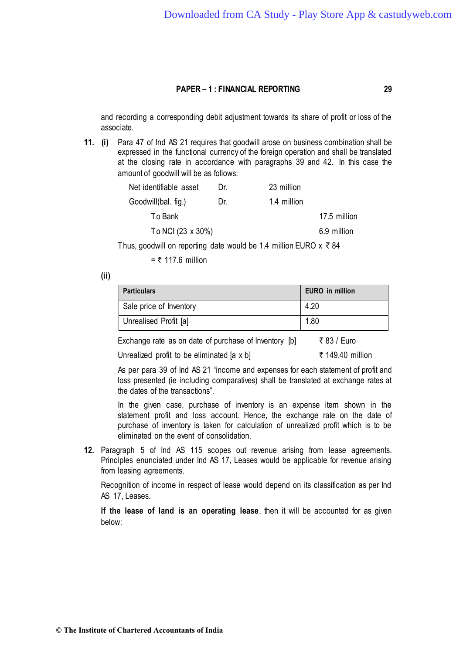and recording a corresponding debit adjustment towards its share of profit or loss of the associate.

**11. (i)** Para 47 of Ind AS 21 requires that goodwill arose on business combination shall be expressed in the functional currency of the foreign operation and shall be translated at the closing rate in accordance with paragraphs 39 and 42. In this case the amount of goodwill will be as follows:

| Net identifiable asset | Dr. | 23 million  |              |
|------------------------|-----|-------------|--------------|
| Goodwill(bal. fig.)    | Dr. | 1.4 million |              |
| To Bank                |     |             | 17.5 million |
| To NCI (23 x 30%)      |     |             | 6.9 million  |

Thus, goodwill on reporting date would be 1.4 million EURO  $x \bar{\tau}$  84

 $=$  ₹ 117.6 million

**(ii)**

| <b>Particulars</b>      | <b>EURO</b> in million |
|-------------------------|------------------------|
| Sale price of Inventory | 4.20                   |
| Unrealised Profit [a]   | 1.80                   |

|  |  |  |  | Exchange rate as on date of purchase of Inventory [b] | ₹83 / Euro |  |  |
|--|--|--|--|-------------------------------------------------------|------------|--|--|
|  |  |  |  |                                                       |            |  |  |

Unrealized profit to be eliminated [a x b]  $\qquad \qquad$   $\qquad$  149.40 million

As per para 39 of Ind AS 21 "income and expenses for each statement of profit and loss presented (ie including comparatives) shall be translated at exchange rates at the dates of the transactions".

In the given case, purchase of inventory is an expense item shown in the statement profit and loss account. Hence, the exchange rate on the date of purchase of inventory is taken for calculation of unrealized profit which is to be eliminated on the event of consolidation.

**12.** Paragraph 5 of Ind AS 115 scopes out revenue arising from lease agreements. Principles enunciated under Ind AS 17, Leases would be applicable for revenue arising from leasing agreements.

Recognition of income in respect of lease would depend on its classification as per Ind AS 17, Leases.

**If the lease of land is an operating lease**, then it will be accounted for as given below: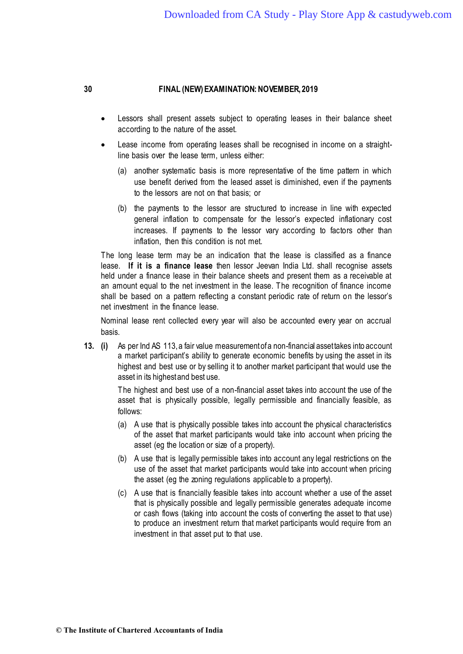- Lessors shall present assets subject to operating leases in their balance sheet according to the nature of the asset.
- Lease income from operating leases shall be recognised in income on a straightline basis over the lease term, unless either:
	- (a) another systematic basis is more representative of the time pattern in which use benefit derived from the leased asset is diminished, even if the payments to the lessors are not on that basis; or
	- (b) the payments to the lessor are structured to increase in line with expected general inflation to compensate for the lessor's expected inflationary cost increases. If payments to the lessor vary according to factors other than inflation, then this condition is not met.

The long lease term may be an indication that the lease is classified as a finance lease. **If it is a finance lease** then lessor Jeevan India Ltd. shall recognise assets held under a finance lease in their balance sheets and present them as a receivable at an amount equal to the net investment in the lease. The recognition of finance income shall be based on a pattern reflecting a constant periodic rate of return on the lessor's net investment in the finance lease.

Nominal lease rent collected every year will also be accounted every year on accrual basis.

**13. (i)** As per Ind AS 113, a fair value measurement of a non-financial asset takes into account a market participant's ability to generate economic benefits by using the asset in its highest and best use or by selling it to another market participant that would use the asset in its highest and best use.

> The highest and best use of a non-financial asset takes into account the use of the asset that is physically possible, legally permissible and financially feasible, as follows:

- (a) A use that is physically possible takes into account the physical characteristics of the asset that market participants would take into account when pricing the asset (eg the location or size of a property).
- (b) A use that is legally permissible takes into account any legal restrictions on the use of the asset that market participants would take into account when pricing the asset (eg the zoning regulations applicable to a property).
- (c) A use that is financially feasible takes into account whether a use of the asset that is physically possible and legally permissible generates adequate income or cash flows (taking into account the costs of converting the asset to that use) to produce an investment return that market participants would require from an investment in that asset put to that use.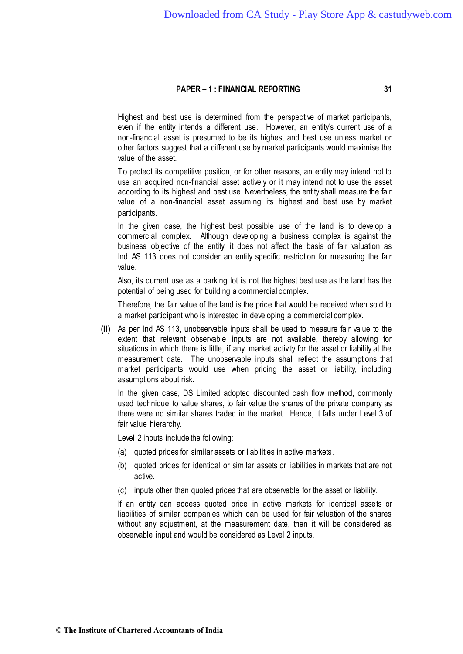Highest and best use is determined from the perspective of market participants, even if the entity intends a different use. However, an entity's current use of a non-financial asset is presumed to be its highest and best use unless market or other factors suggest that a different use by market participants would maximise the value of the asset.

To protect its competitive position, or for other reasons, an entity may intend not to use an acquired non-financial asset actively or it may intend not to use the asset according to its highest and best use. Nevertheless, the entity shall measure the fair value of a non-financial asset assuming its highest and best use by market participants.

In the given case, the highest best possible use of the land is to develop a commercial complex. Although developing a business complex is against the business objective of the entity, it does not affect the basis of fair valuation as Ind AS 113 does not consider an entity specific restriction for measuring the fair value.

Also, its current use as a parking lot is not the highest best use as the land has the potential of being used for building a commercial complex.

Therefore, the fair value of the land is the price that would be received when sold to a market participant who is interested in developing a commercial complex.

**(ii)** As per Ind AS 113, unobservable inputs shall be used to measure fair value to the extent that relevant observable inputs are not available, thereby allowing for situations in which there is little, if any, market activity for the asset or liability at the measurement date. The unobservable inputs shall reflect the assumptions that market participants would use when pricing the asset or liability, including assumptions about risk.

In the given case, DS Limited adopted discounted cash flow method, commonly used technique to value shares, to fair value the shares of the private company as there were no similar shares traded in the market. Hence, it falls under Level 3 of fair value hierarchy.

Level 2 inputs include the following:

- (a) quoted prices for similar assets or liabilities in active markets.
- (b) quoted prices for identical or similar assets or liabilities in markets that are not active.
- (c) inputs other than quoted prices that are observable for the asset or liability.

If an entity can access quoted price in active markets for identical assets or liabilities of similar companies which can be used for fair valuation of the shares without any adjustment, at the measurement date, then it will be considered as observable input and would be considered as Level 2 inputs.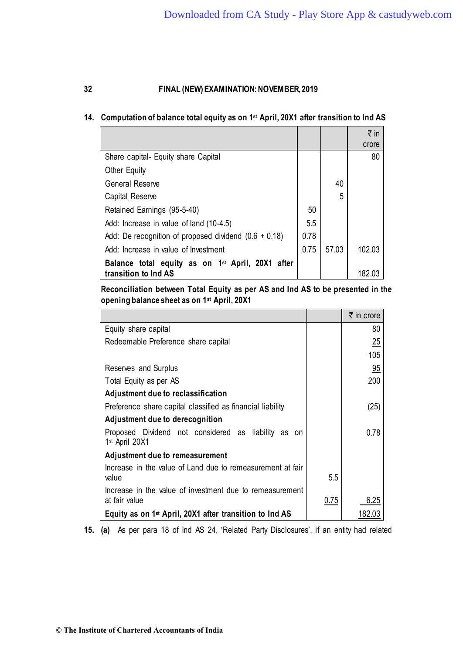### **14. Computation of balance total equity as on 1 st April, 20X1 after transition to Ind AS**

|                                                              |      |       | ₹in    |
|--------------------------------------------------------------|------|-------|--------|
|                                                              |      |       | crore  |
| Share capital- Equity share Capital                          |      |       | 80     |
| Other Equity                                                 |      |       |        |
| General Reserve                                              |      | 40    |        |
| Capital Reserve                                              |      | 5     |        |
| Retained Earnings (95-5-40)                                  | 50   |       |        |
| Add: Increase in value of land (10-4.5)                      | 5.5  |       |        |
| Add: De recognition of proposed dividend $(0.6 + 0.18)$      | 0.78 |       |        |
| Add: Increase in value of Investment                         | 0.75 | 57.03 | 102.03 |
| Balance total equity as on 1 <sup>st</sup> April, 20X1 after |      |       |        |
| transition to Ind AS                                         |      |       | 182.03 |

**Reconciliation between Total Equity as per AS and Ind AS to be presented in the opening balance sheet as on 1st April, 20X1**

|                                                                                   |      | ₹ in crore |
|-----------------------------------------------------------------------------------|------|------------|
| Equity share capital                                                              |      | 80         |
| Redeemable Preference share capital                                               |      | 25         |
|                                                                                   |      | 105        |
| Reserves and Surplus                                                              |      | 95         |
| Total Equity as per AS                                                            |      | 200        |
| Adjustment due to reclassification                                                |      |            |
| Preference share capital classified as financial liability                        |      | (25)       |
| Adjustment due to derecognition                                                   |      |            |
| Proposed Dividend not considered as liability as on<br>1 <sup>st</sup> April 20X1 |      | 0.78       |
| Adjustment due to remeasurement                                                   |      |            |
| Increase in the value of Land due to remeasurement at fair<br>value               | 5.5  |            |
| Increase in the value of investment due to remeasurement                          |      |            |
| at fair value                                                                     | 0.75 | 6.25       |
| Equity as on 1 <sup>st</sup> April, 20X1 after transition to Ind AS               |      | 182.03     |

**15. (a)** As per para 18 of Ind AS 24, 'Related Party Disclosures', if an entity had related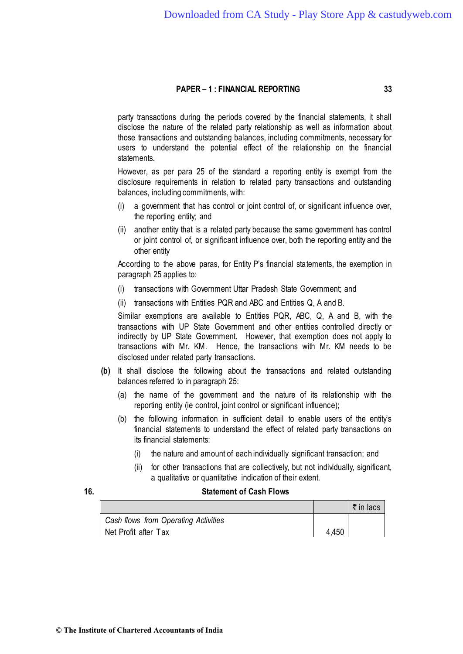party transactions during the periods covered by the financial statements, it shall disclose the nature of the related party relationship as well as information about those transactions and outstanding balances, including commitments, necessary for users to understand the potential effect of the relationship on the financial statements.

However, as per para 25 of the standard a reporting entity is exempt from the disclosure requirements in relation to related party transactions and outstanding balances, including commitments, with:

- (i) a government that has control or joint control of, or significant influence over, the reporting entity; and
- (ii) another entity that is a related party because the same government has control or joint control of, or significant influence over, both the reporting entity and the other entity

According to the above paras, for Entity P's financial statements, the exemption in paragraph 25 applies to:

- (i) transactions with Government Uttar Pradesh State Government; and
- (ii) transactions with Entities PQR and ABC and Entities Q, A and B.

Similar exemptions are available to Entities PQR, ABC, Q, A and B, with the transactions with UP State Government and other entities controlled directly or indirectly by UP State Government. However, that exemption does not apply to transactions with Mr. KM. Hence, the transactions with Mr. KM needs to be disclosed under related party transactions.

- **(b)** It shall disclose the following about the transactions and related outstanding balances referred to in paragraph 25:
	- (a) the name of the government and the nature of its relationship with the reporting entity (ie control, joint control or significant influence);
	- (b) the following information in sufficient detail to enable users of the entity's financial statements to understand the effect of related party transactions on its financial statements:
		- (i) the nature and amount of each individually significant transaction; and
		- (ii) for other transactions that are collectively, but not individually, significant, a qualitative or quantitative indication of their extent.

#### **16. Statement of Cash Flows**

|                                      |       | $\bar{\tau}$ in lacs |
|--------------------------------------|-------|----------------------|
| Cash flows from Operating Activities |       |                      |
| Net Profit after Tax                 | 4,450 |                      |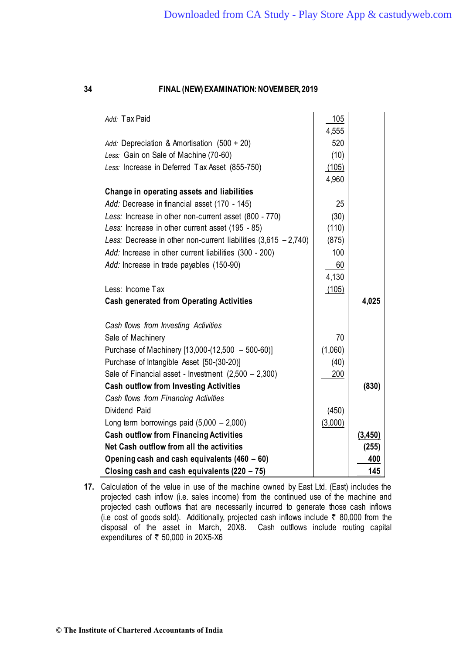| Add: Tax Paid                                                     | 105     |          |
|-------------------------------------------------------------------|---------|----------|
|                                                                   | 4,555   |          |
| Add: Depreciation & Amortisation $(500 + 20)$                     | 520     |          |
| Less: Gain on Sale of Machine (70-60)                             | (10)    |          |
| Less: Increase in Deferred Tax Asset (855-750)                    | (105)   |          |
|                                                                   | 4,960   |          |
| Change in operating assets and liabilities                        |         |          |
| Add: Decrease in financial asset (170 - 145)                      | 25      |          |
| Less: Increase in other non-current asset (800 - 770)             | (30)    |          |
| Less: Increase in other current asset (195 - 85)                  | (110)   |          |
| Less: Decrease in other non-current liabilities $(3,615 - 2,740)$ | (875)   |          |
| Add: Increase in other current liabilities (300 - 200)            | 100     |          |
| Add: Increase in trade payables (150-90)                          | 60      |          |
|                                                                   | 4,130   |          |
| Less: Income Tax                                                  | (105)   |          |
| <b>Cash generated from Operating Activities</b>                   |         | 4,025    |
|                                                                   |         |          |
| Cash flows from Investing Activities                              |         |          |
| Sale of Machinery                                                 | 70      |          |
| Purchase of Machinery [13,000-(12,500 - 500-60)]                  | (1,060) |          |
| Purchase of Intangible Asset [50-(30-20)]                         | (40)    |          |
| Sale of Financial asset - Investment $(2,500 - 2,300)$            | 200     |          |
| <b>Cash outflow from Investing Activities</b>                     |         | (830)    |
| Cash flows from Financing Activities                              |         |          |
| Dividend Paid                                                     | (450)   |          |
| Long term borrowings paid $(5,000 - 2,000)$                       | (3,000) |          |
| <b>Cash outflow from Financing Activities</b>                     |         | (3, 450) |
| Net Cash outflow from all the activities                          |         | (255)    |
| Opening cash and cash equivalents (460 – 60)                      |         | 400      |
| Closing cash and cash equivalents (220 - 75)                      |         | 145      |

**17.** Calculation of the value in use of the machine owned by East Ltd. (East) includes the projected cash inflow (i.e. sales income) from the continued use of the machine and projected cash outflows that are necessarily incurred to generate those cash inflows (i.e cost of goods sold). Additionally, projected cash inflows include  $\bar{\tau}$  80,000 from the disposal of the asset in March, 20X8. Cash outflows include routing capital expenditures of  $\overline{\epsilon}$  50,000 in 20X5-X6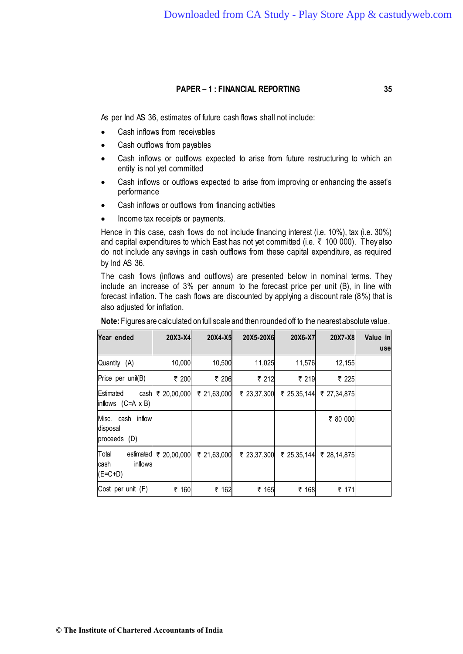As per Ind AS 36, estimates of future cash flows shall not include:

- Cash inflows from receivables
- Cash outflows from payables
- Cash inflows or outflows expected to arise from future restructuring to which an entity is not yet committed
- Cash inflows or outflows expected to arise from improving or enhancing the asset's performance
- Cash inflows or outflows from financing activities
- Income tax receipts or payments.

Hence in this case, cash flows do not include financing interest (i.e. 10%), tax (i.e. 30%) and capital expenditures to which East has not yet committed (i.e.  $\bar{\tau}$  100 000). They also do not include any savings in cash outflows from these capital expenditure, as required by Ind AS 36.

The cash flows (inflows and outflows) are presented below in nominal terms. They include an increase of 3% per annum to the forecast price per unit (B), in line with forecast inflation. The cash flows are discounted by applying a discount rate (8%) that is also adjusted for inflation.

| <b>Year ended</b>                                  | 20X3-X4     | 20X4-X5     | 20X5-20X6   | 20X6-X7                             | 20X7-X8     | Value in<br>use |
|----------------------------------------------------|-------------|-------------|-------------|-------------------------------------|-------------|-----------------|
| Quantity (A)                                       | 10,000      | 10,500      | 11,025      | 11,576                              | 12,155      |                 |
| Price per unit(B)                                  | ₹ 200       | ₹ 206       | ₹ 212       | ₹ 219                               | ₹ 225       |                 |
| Estimated<br>cash<br>inflows $(C=A \times B)$      | ₹ 20,00,000 | ₹ 21,63,000 |             | ₹ 23,37,300 ₹ 25,35,144 ₹ 27,34,875 |             |                 |
| Misc. cash inflow<br>disposal<br>proceeds (D)      |             |             |             |                                     | ₹ 80 000    |                 |
| Total<br>estimated<br>inflows<br>cash<br>$(E=C+D)$ | ₹ 20,00,000 | ₹ 21,63,000 | ₹ 23,37,300 | ₹ 25,35,144                         | ₹ 28,14,875 |                 |
| Cost per unit (F)                                  | ₹ 160       | ₹ 162       | ₹ 165       | ₹ 168                               | ₹ 171       |                 |

**Note:** Figures are calculated on full scale and then rounded off to the nearest absolute value.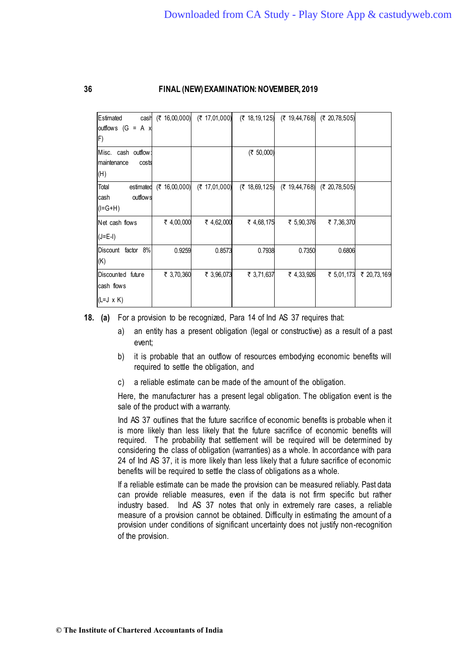| Estimated                    | cash (₹ 16,00,000) | (₹ 17,01,000) |               | (₹ 18,19,125) (₹ 19,44,768) (₹ 20,78,505) |                |             |
|------------------------------|--------------------|---------------|---------------|-------------------------------------------|----------------|-------------|
| outflows $(G = A x)$         |                    |               |               |                                           |                |             |
| F)                           |                    |               |               |                                           |                |             |
| Misc. cash outflow:          |                    |               | (₹ 50,000)    |                                           |                |             |
| maintenance<br>costs         |                    |               |               |                                           |                |             |
| (H)                          |                    |               |               |                                           |                |             |
| Total<br>estimated           | (716,00,000)       | (₹ 17,01,000) | (₹ 18,69,125) | (719,44,768)                              | (720, 78, 505) |             |
| outflow <sub>s</sub><br>cash |                    |               |               |                                           |                |             |
| $(I = G + H)$                |                    |               |               |                                           |                |             |
| Net cash flows               | ₹ 4,00,000         | ₹ 4,62,000    | ₹ 4,68,175    | ₹ 5,90,376                                | ₹ 7,36,370     |             |
| $(J=E-I)$                    |                    |               |               |                                           |                |             |
| Discount factor 8%           | 0.9259             | 0.8573        | 0.7938        | 0.7350                                    | 0.6806         |             |
| (K)                          |                    |               |               |                                           |                |             |
| Discounted future            | ₹ 3,70,360         | ₹ 3,96,073    | ₹ 3,71,637    | ₹ 4,33,926                                | ₹ 5,01,173     | ₹ 20,73,169 |
| cash flows                   |                    |               |               |                                           |                |             |
| $(L=J \times K)$             |                    |               |               |                                           |                |             |

**18. (a)** For a provision to be recognized, Para 14 of Ind AS 37 requires that:

- a) an entity has a present obligation (legal or constructive) as a result of a past event;
- b) it is probable that an outflow of resources embodying economic benefits will required to settle the obligation, and
- c) a reliable estimate can be made of the amount of the obligation.

Here, the manufacturer has a present legal obligation. The obligation event is the sale of the product with a warranty.

Ind AS 37 outlines that the future sacrifice of economic benefits is probable when it is more likely than less likely that the future sacrifice of economic benefits will required. The probability that settlement will be required will be determined by considering the class of obligation (warranties) as a whole. In accordance with para 24 of Ind AS 37, it is more likely than less likely that a future sacrifice of economic benefits will be required to settle the class of obligations as a whole.

If a reliable estimate can be made the provision can be measured reliably. Past data can provide reliable measures, even if the data is not firm specific but rather industry based. Ind AS 37 notes that only in extremely rare cases, a reliable measure of a provision cannot be obtained. Difficulty in estimating the amount of a provision under conditions of significant uncertainty does not justify non-recognition of the provision.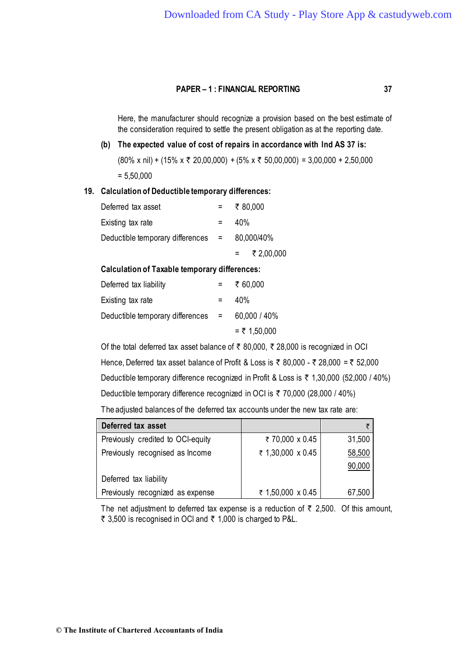Here, the manufacturer should recognize a provision based on the best estimate of the consideration required to settle the present obligation as at the reporting date.

#### **(b) The expected value of cost of repairs in accordance with Ind AS 37 is:**

 $(80\% \times \text{nil}) + (15\% \times \overline{20,00,000}) + (5\% \times \overline{5,0,00,000}) = 3,00,000 + 2,50,000$  $= 5,50,000$ 

## **19. Calculation of Deductible temporary differences:**

| <b>Calculation of Taxable temporary differences:</b> |  |                 |            |  |  |  |
|------------------------------------------------------|--|-----------------|------------|--|--|--|
|                                                      |  | $=$             | ₹ 2,00,000 |  |  |  |
| Deductible temporary differences =                   |  |                 | 80,000/40% |  |  |  |
| Existing tax rate                                    |  | 40 <sup>%</sup> |            |  |  |  |
| Deferred tax asset                                   |  |                 | ₹ 80,000   |  |  |  |

| Deferred tax liability               |     | ₹ 60,000       |
|--------------------------------------|-----|----------------|
| Existing tax rate                    | $=$ | 40%            |
| Deductible temporary differences $=$ |     | 60,000 / 40%   |
|                                      |     | $= ₹ 1,50,000$ |

Of the total deferred tax asset balance of  $\bar{\tau}$  80,000,  $\bar{\tau}$  28,000 is recognized in OCI Hence, Deferred tax asset balance of Profit & Loss is  $\bar{\tau}$  80,000 -  $\bar{\tau}$  28,000 =  $\bar{\tau}$  52,000 Deductible temporary difference recognized in Profit & Loss is  $\bar{\tau}$  1,30,000 (52,000 / 40%) Deductible temporary difference recognized in OCI is  $\bar{\tau}$  70,000 (28,000 / 40%)

The adjusted balances of the deferred tax accounts under the new tax rate are:

| Deferred tax asset                |                   |        |
|-----------------------------------|-------------------|--------|
| Previously credited to OCI-equity | ₹70,000 x 0.45    | 31,500 |
| Previously recognised as Income   | ₹ 1,30,000 x 0.45 | 58,500 |
|                                   |                   | 90,000 |
| Deferred tax liability            |                   |        |
| Previously recognized as expense  | ₹ 1,50,000 x 0.45 | 67,500 |

The net adjustment to deferred tax expense is a reduction of  $\bar{\tau}$  2,500. Of this amount, ₹ 3,500 is recognised in OCI and ₹ 1,000 is charged to P&L.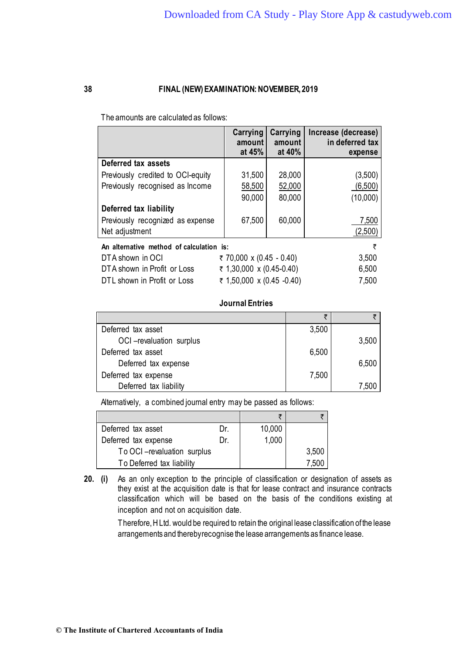The amounts are calculated as follows:

|                                          | Carrying<br>amount<br>at 45% | Carrying<br>amount<br>at 40% | Increase (decrease)<br>in deferred tax<br>expense |
|------------------------------------------|------------------------------|------------------------------|---------------------------------------------------|
| Deferred tax assets                      |                              |                              |                                                   |
| Previously credited to OCI-equity        | 31,500                       | 28,000                       | (3,500)                                           |
| Previously recognised as Income          | 58,500                       | 52,000                       | (6,500)                                           |
|                                          | 90,000                       | 80,000                       | (10,000)                                          |
| Deferred tax liability                   |                              |                              |                                                   |
| Previously recognized as expense         | 67,500                       | 60,000                       | 7,500                                             |
| Net adjustment                           |                              |                              | (2,500)                                           |
| An alternative method of calculation is: |                              |                              | ₹                                                 |
| DTA shown in OCI                         | ₹ 70,000 x (0.45 - 0.40)     |                              | 3,500                                             |
| DTA shown in Profit or Loss              | ₹ 1,30,000 x (0.45-0.40)     |                              | 6,500                                             |
| DTL shown in Profit or Loss              | ₹ 1,50,000 x (0.45 -0.40)    |                              | 7,500                                             |

#### **Journal Entries**

|                         | ₹     |       |
|-------------------------|-------|-------|
| Deferred tax asset      | 3,500 |       |
| OCI-revaluation surplus |       | 3,500 |
| Deferred tax asset      | 6,500 |       |
| Deferred tax expense    |       | 6,500 |
| Deferred tax expense    | 7,500 |       |
| Deferred tax liability  |       | 7,500 |

Alternatively, a combined journal entry may be passed as follows:

| Deferred tax asset         | Dr. | 10,000 |       |
|----------------------------|-----|--------|-------|
| Deferred tax expense       | Dr. | 1,000  |       |
| To OCI-revaluation surplus |     |        | 3,500 |
| To Deferred tax liability  |     |        | 7.500 |

**20. (i)** As an only exception to the principle of classification or designation of assets as they exist at the acquisition date is that for lease contract and insurance contracts classification which will be based on the basis of the conditions existing at inception and not on acquisition date.

> Therefore, H Ltd. would be required to retain the original lease classification of the lease arrangements and thereby recognise the lease arrangements as finance lease.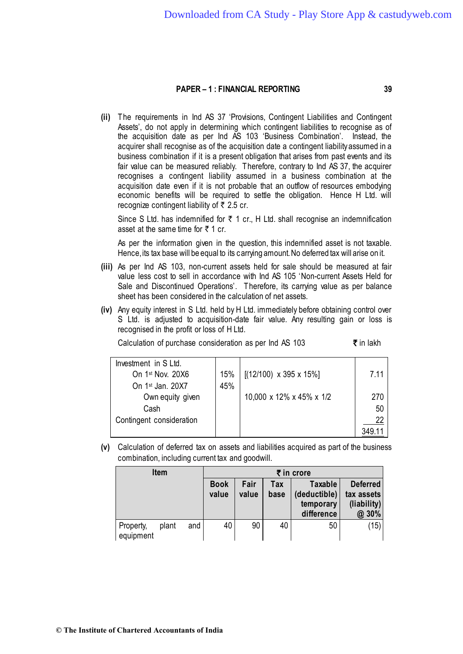**(ii)** The requirements in Ind AS 37 'Provisions, Contingent Liabilities and Contingent Assets', do not apply in determining which contingent liabilities to recognise as of the acquisition date as per Ind AS 103 'Business Combination'. Instead, the acquirer shall recognise as of the acquisition date a contingent liability assumed in a business combination if it is a present obligation that arises from past events and its fair value can be measured reliably. Therefore, contrary to Ind AS 37, the acquirer recognises a contingent liability assumed in a business combination at the acquisition date even if it is not probable that an outflow of resources embodying economic benefits will be required to settle the obligation. Hence H Ltd. will recognize contingent liability of  $\overline{z}$  2.5 cr.

Since S Ltd. has indemnified for  $\bar{\tau}$  1 cr., H Ltd. shall recognise an indemnification asset at the same time for  $\bar{\tau}$  1 cr.

As per the information given in the question, this indemnified asset is not taxable. Hence, its tax base will be equal to its carrying amount. No deferred tax will arise on it.

- **(iii)** As per Ind AS 103, non-current assets held for sale should be measured at fair value less cost to sell in accordance with Ind AS 105 'Non-current Assets Held for Sale and Discontinued Operations'. Therefore, its carrying value as per balance sheet has been considered in the calculation of net assets.
- **(iv)** Any equity interest in S Ltd. held by H Ltd. immediately before obtaining control over S Ltd. is adjusted to acquisition-date fair value. Any resulting gain or loss is recognised in the profit or loss of H Ltd.

Calculation of purchase consideration as per Ind AS 103  $\bar{\tau}$  in lakh

| Investment in S Ltd.         |     |                                     |      |
|------------------------------|-----|-------------------------------------|------|
| On $1st$ Nov. 20X6           | 15% | $[(12/100) \times 395 \times 15\%]$ | 7 11 |
| On 1 <sup>st</sup> Jan. 20X7 | 45% |                                     |      |
| Own equity given             |     | 10,000 x 12% x 45% x 1/2            | 270  |
| Cash                         |     |                                     | 50   |
| Contingent consideration     |     |                                     | פפ   |
|                              |     |                                     |      |

**(v)** Calculation of deferred tax on assets and liabilities acquired as part of the business combination, including current tax and goodwill.

|                        | <b>Item</b> |     |                      |               |             | ₹ in crore                                                |                                                                             |
|------------------------|-------------|-----|----------------------|---------------|-------------|-----------------------------------------------------------|-----------------------------------------------------------------------------|
|                        |             |     | <b>Book</b><br>value | Fair<br>value | Tax<br>base | <b>Taxable</b><br>(deductible)<br>temporary<br>difference | <b>Deferred</b><br>tax assets<br>$\left(\mathsf{liability}\right)$<br>@ 30% |
| Property,<br>equipment | plant       | and | 40                   | 90            | 40          | 50                                                        | (15)                                                                        |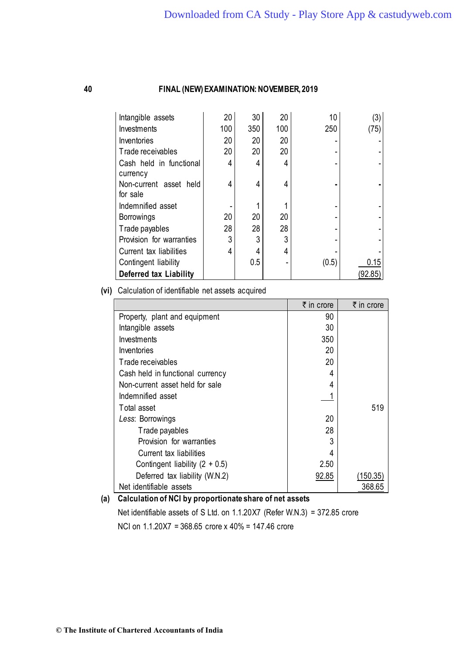| Intangible assets             | 20  | 30  | 20  | 10    | (3)     |
|-------------------------------|-----|-----|-----|-------|---------|
| Investments                   | 100 | 350 | 100 | 250   | (75)    |
| Inventories                   | 20  | 20  | 20  |       |         |
| Trade receivables             | 20  | 20  | 20  |       |         |
| Cash held in functional       | 4   | 4   | 4   |       |         |
| currency                      |     |     |     |       |         |
| Non-current asset held        | 4   | 4   | 4   |       |         |
| for sale                      |     |     |     |       |         |
| Indemnified asset             |     |     |     |       |         |
| <b>Borrowings</b>             | 20  | 20  | 20  |       |         |
| Trade payables                | 28  | 28  | 28  |       |         |
| Provision for warranties      | 3   | 3   | 3   |       |         |
| Current tax liabilities       | 4   | 4   | 4   |       |         |
| Contingent liability          |     | 0.5 |     | (0.5) | 0.15    |
| <b>Deferred tax Liability</b> |     |     |     |       | (92.85` |

**(vi)** Calculation of identifiable net assets acquired

|                                  | ₹ in crore | ₹ in crore |
|----------------------------------|------------|------------|
| Property, plant and equipment    | 90         |            |
| Intangible assets                | 30         |            |
| Investments                      | 350        |            |
| Inventories                      | 20         |            |
| Trade receivables                | 20         |            |
| Cash held in functional currency | 4          |            |
| Non-current asset held for sale  | 4          |            |
| Indemnified asset                |            |            |
| Total asset                      |            | 519        |
| Less: Borrowings                 | 20         |            |
| Trade payables                   | 28         |            |
| Provision for warranties         | 3          |            |
| Current tax liabilities          | 4          |            |
| Contingent liability $(2 + 0.5)$ | 2.50       |            |
| Deferred tax liability (W.N.2)   | 92.85      | (150.35)   |
| Net identifiable assets          |            | 368.65     |

## **(a) Calculation of NCI by proportionate share of net assets**

Net identifiable assets of S Ltd. on 1.1.20X7 (Refer W.N.3) = 372.85 crore NCI on 1.1.20X7 = 368.65 crore x 40% = 147.46 crore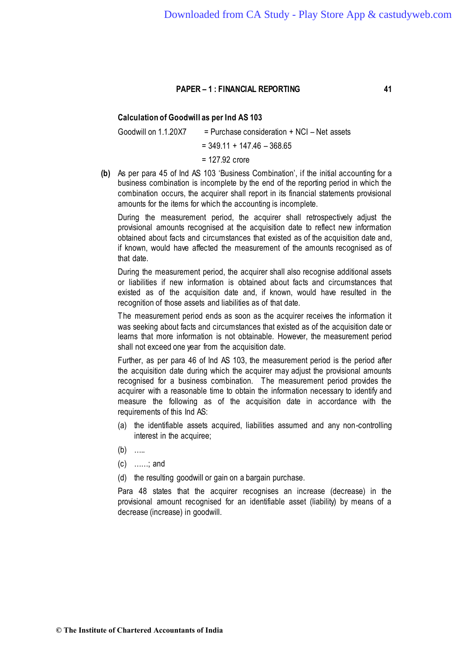#### **Calculation of Goodwill as per Ind AS 103**

| Goodwill on 1.1.20X7 | $=$ Purchase consideration $+$ NCI $-$ Net assets |  |  |  |
|----------------------|---------------------------------------------------|--|--|--|
|                      | $=$ 349.11 + 147.46 $-$ 368.65                    |  |  |  |
|                      | = 127.92 crore                                    |  |  |  |

**(b)** As per para 45 of Ind AS 103 'Business Combination', if the initial accounting for a business combination is incomplete by the end of the reporting period in which the combination occurs, the acquirer shall report in its financial statements provisional amounts for the items for which the accounting is incomplete.

During the measurement period, the acquirer shall retrospectively adjust the provisional amounts recognised at the acquisition date to reflect new information obtained about facts and circumstances that existed as of the acquisition date and, if known, would have affected the measurement of the amounts recognised as of that date.

During the measurement period, the acquirer shall also recognise additional assets or liabilities if new information is obtained about facts and circumstances that existed as of the acquisition date and, if known, would have resulted in the recognition of those assets and liabilities as of that date.

The measurement period ends as soon as the acquirer receives the information it was seeking about facts and circumstances that existed as of the acquisition date or learns that more information is not obtainable. However, the measurement period shall not exceed one year from the acquisition date.

Further, as per para 46 of Ind AS 103, the measurement period is the period after the acquisition date during which the acquirer may adjust the provisional amounts recognised for a business combination. The measurement period provides the acquirer with a reasonable time to obtain the information necessary to identify and measure the following as of the acquisition date in accordance with the requirements of this Ind AS:

- (a) the identifiable assets acquired, liabilities assumed and any non-controlling interest in the acquiree;
- $(b)$  …
- (c) ……; and
- (d) the resulting goodwill or gain on a bargain purchase.

Para 48 states that the acquirer recognises an increase (decrease) in the provisional amount recognised for an identifiable asset (liability) by means of a decrease (increase) in goodwill.